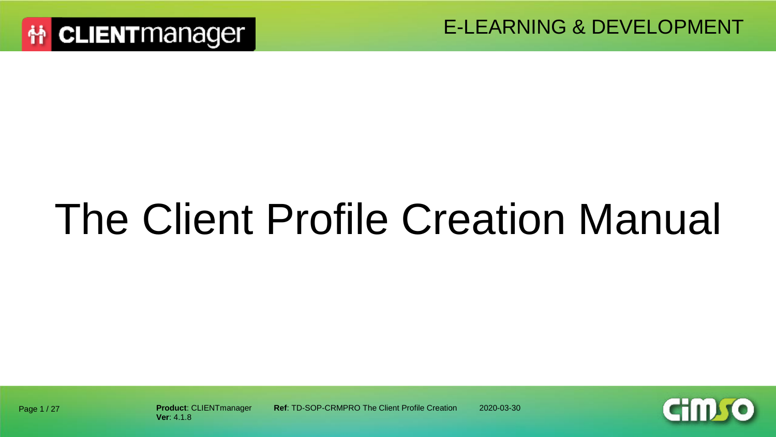

# The Client Profile Creation Manual



Page 1 / 27

**Product**: CLIENTmanager **Ref**: TD-SOP-CRMPRO The Client Profile Creation 2020-03-30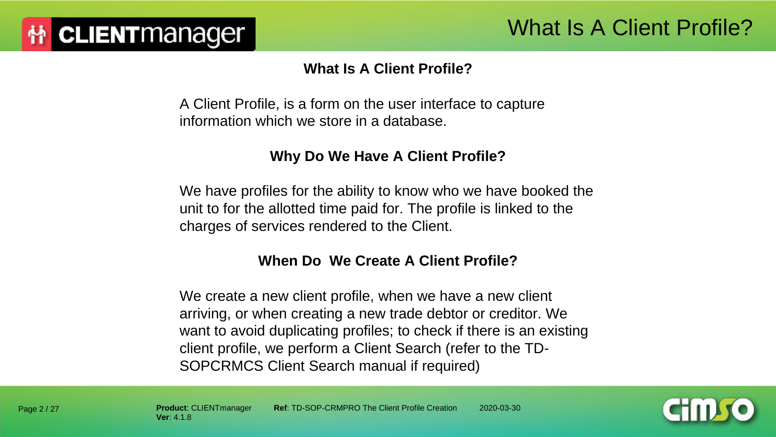#### **What Is A Client Profile?**

A Client Profile, is a form on the user interface to capture information which we store in a database.

#### **Why Do We Have A Client Profile?**

We have profiles for the ability to know who we have booked the unit to for the allotted time paid for. The profile is linked to the charges of services rendered to the Client.

#### **When Do We Create A Client Profile?**

We create a new client profile, when we have a new client arriving, or when creating a new trade debtor or creditor. We want to avoid duplicating profiles; to check if there is an existing client profile, we perform a Client Search (refer to the TD-SOPCRMCS Client Search manual if required)

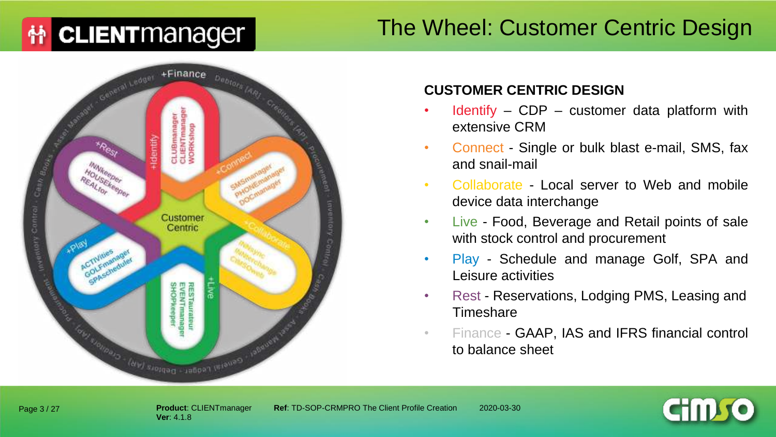#### The Wheel: Customer Centric Design



#### **CUSTOMER CENTRIC DESIGN**

- Identify  $-$  CDP  $-$  customer data platform with extensive CRM
- Connect Single or bulk blast e-mail, SMS, fax and snail-mail
- Collaborate Local server to Web and mobile device data interchange
- Live Food, Beverage and Retail points of sale with stock control and procurement
- Play Schedule and manage Golf, SPA and Leisure activities
- Rest Reservations, Lodging PMS, Leasing and **Timeshare**
- Finance GAAP, IAS and IFRS financial control to balance sheet



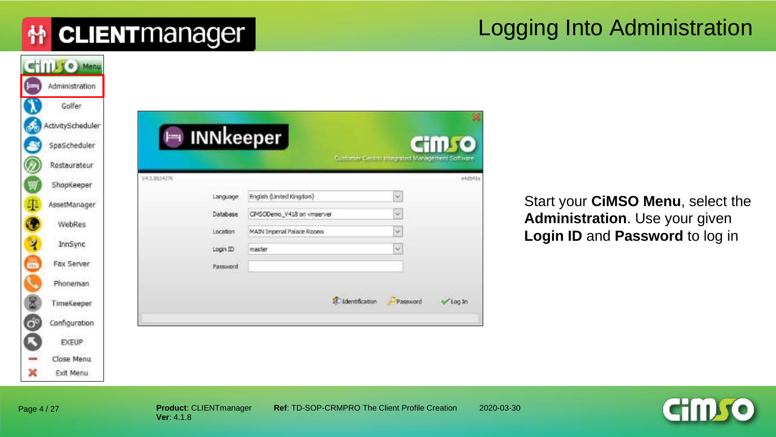#### Logging Into Administration

|                         | SIIII (e) Menu    |              |                             |                                                 |           |
|-------------------------|-------------------|--------------|-----------------------------|-------------------------------------------------|-----------|
|                         | Administration    |              |                             |                                                 |           |
|                         | Golfer            |              |                             |                                                 |           |
| C                       | ActivityScheduler |              |                             |                                                 |           |
|                         | SpaScheduler      | Im INNkeeper |                             |                                                 | 110       |
|                         | Restaurateur      |              |                             | Gostomer Gentric Integrated Management Software |           |
|                         | ShopKeeper        | V4.1.0614276 |                             |                                                 | ekdbKla   |
|                         | AssetManager      | Language     | English (Linited Kingdom)   | ×                                               |           |
|                         |                   | Database     | CIMSODemo_V418 on vrtserver | Ý                                               |           |
|                         | WebRes            | Location     | MAIN Imperial Palace Rooms  | Y                                               |           |
| $\overline{\mathbf{A}}$ | InnSync           | Login ID     | master                      | $\checkmark$                                    |           |
| m                       | Fax Server        | Password     |                             |                                                 |           |
|                         | Phoneman          |              |                             |                                                 |           |
|                         | TimeKeeper        |              |                             | dentification<br>Password                       | $100 \ln$ |
| $\bullet$               | Configuration     |              |                             |                                                 |           |
|                         | <b>EXEUP</b>      |              |                             |                                                 |           |
|                         | Close Menu        |              |                             |                                                 |           |
| ×                       | Exit Menu         |              |                             |                                                 |           |

Start your **CiMSO Menu**, select the **Administration**. Use your given **Login ID** and **Password** to log in



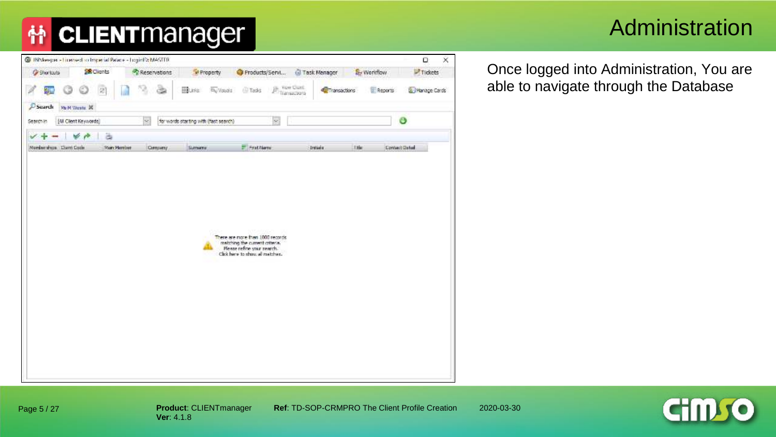#### Administration

| <b>Or Shortcuts</b><br>ಲ<br>霾<br>Search<br><b>Ply N. Wester, 30</b><br>[4] Clent Keywords]<br>Search in<br>$\checkmark$ +<br>w<br>÷<br>Nordamshops Dient Cook | <b>SE Clients</b><br>$[2] \centering% \includegraphics[width=0.3\textwidth]{Figures/PG1.pdf} \caption{The 3D (black) model for the $2D$-error of the data set. The left is the same time, the right is the same time. The right is the same time, the right is the same time.} \label{fig:1}$<br>ä<br>Main Member | Reservations<br>EBUNG.<br>G<br>$\sim$<br>for words starting with (fast search)<br>Company | Property<br>By Visuals<br>Sumarra | Products/Servi<br><b>Philadelphia</b><br>Transaciona<br><b>O</b> Tasks<br>×<br><b>E. Frattiene</b> | Task Manager<br><b>C</b> Transactions<br>Intada<br><b>Title</b> | Tidets<br>Sy Workflow<br>E Reports<br>Vanage Cards<br>O<br>Contact Datal |
|---------------------------------------------------------------------------------------------------------------------------------------------------------------|-------------------------------------------------------------------------------------------------------------------------------------------------------------------------------------------------------------------------------------------------------------------------------------------------------------------|-------------------------------------------------------------------------------------------|-----------------------------------|----------------------------------------------------------------------------------------------------|-----------------------------------------------------------------|--------------------------------------------------------------------------|
|                                                                                                                                                               |                                                                                                                                                                                                                                                                                                                   |                                                                                           |                                   |                                                                                                    |                                                                 |                                                                          |
|                                                                                                                                                               |                                                                                                                                                                                                                                                                                                                   |                                                                                           |                                   |                                                                                                    |                                                                 |                                                                          |
|                                                                                                                                                               |                                                                                                                                                                                                                                                                                                                   |                                                                                           |                                   |                                                                                                    |                                                                 |                                                                          |
|                                                                                                                                                               |                                                                                                                                                                                                                                                                                                                   |                                                                                           |                                   |                                                                                                    |                                                                 |                                                                          |
|                                                                                                                                                               |                                                                                                                                                                                                                                                                                                                   |                                                                                           |                                   |                                                                                                    |                                                                 |                                                                          |
|                                                                                                                                                               |                                                                                                                                                                                                                                                                                                                   |                                                                                           |                                   |                                                                                                    |                                                                 |                                                                          |
|                                                                                                                                                               |                                                                                                                                                                                                                                                                                                                   |                                                                                           |                                   | restohing the current criteria.<br>Please refine your nearch.<br>Click here to show all matches.   |                                                                 |                                                                          |
|                                                                                                                                                               |                                                                                                                                                                                                                                                                                                                   |                                                                                           |                                   |                                                                                                    |                                                                 |                                                                          |
|                                                                                                                                                               |                                                                                                                                                                                                                                                                                                                   |                                                                                           |                                   |                                                                                                    |                                                                 |                                                                          |
|                                                                                                                                                               |                                                                                                                                                                                                                                                                                                                   |                                                                                           |                                   |                                                                                                    |                                                                 |                                                                          |
|                                                                                                                                                               |                                                                                                                                                                                                                                                                                                                   |                                                                                           |                                   |                                                                                                    |                                                                 |                                                                          |

Once logged into Administration, You are able to navigate through the Database

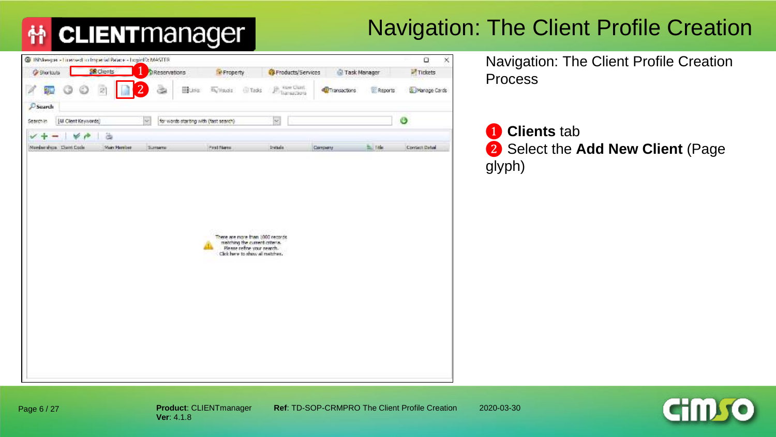## Navigation: The Client Profile Creation

| <b>O</b> Shortcuts       |                     | @ INMargon - Licensed scrimperial Patace - Loginfilt MASTER |                                                                                                                                     |                                     |                       |            | α<br>$\times$ |
|--------------------------|---------------------|-------------------------------------------------------------|-------------------------------------------------------------------------------------------------------------------------------------|-------------------------------------|-----------------------|------------|---------------|
|                          | <b>SE Clients</b>   | Reservations                                                | Property                                                                                                                            | <b>B</b> Froducts/Services          | Task Manager          |            | Tickets       |
| 鼆                        | g                   | $\overline{2}$<br>BRUNKS!                                   | The Visuals (1) Tasks                                                                                                               | <b>El Tuer Clunt</b><br>Transaciona | <b>C</b> Transactions | E Reports  | Manage Cards  |
| <b>P</b> Search          |                     |                                                             |                                                                                                                                     |                                     |                       |            |               |
| Search in                | [4] Clent Keywords] | for words starting with (fast search)<br>$\sim$             |                                                                                                                                     | ×                                   |                       |            | Ø             |
| v                        | ä<br>v              |                                                             |                                                                                                                                     |                                     |                       |            |               |
| Nordamshops: Dient Dock: | Main Member         | Surtterne                                                   | Profiterer.                                                                                                                         | Intada                              | Company               | fail fide: | Contact Datas |
|                          |                     |                                                             | There are more than 1000 records<br>matching the current criteria.<br>Please refine your nearch.<br>Click here to show all matches. |                                     |                       |            |               |

Navigation: The Client Profile Creation Process

❶ **Clients** tab ❷ Select the **Add New Client** (Page glyph)

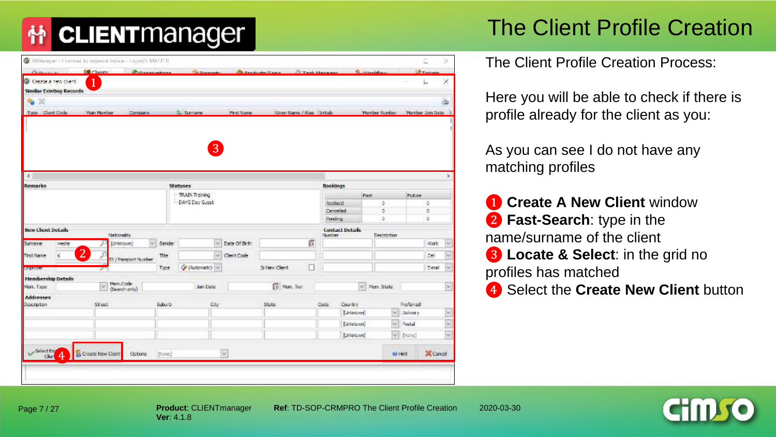## The Client Profile Creation

| C INMANUEL - Licensed Incorporad Palmas - Logard's MACED |                   |                           |                     |                       |               |                          |                        |                       |                        |                       |                |                       | × |
|----------------------------------------------------------|-------------------|---------------------------|---------------------|-----------------------|---------------|--------------------------|------------------------|-----------------------|------------------------|-----------------------|----------------|-----------------------|---|
| Persiana                                                 | <b>DR Chores</b>  | <b>Chosenwheel</b>        |                     | <b>Britannik</b>      |               | <b>Constructor Comp</b>  | <b>Citaris Manager</b> |                       |                        | Summerly              |                | <b>Lift Timbusher</b> |   |
| C Create a new client                                    | 1                 |                           |                     |                       |               |                          |                        |                       |                        |                       |                |                       | × |
| <b>Similar Existing Records</b>                          |                   |                           |                     |                       |               |                          |                        |                       |                        |                       |                |                       |   |
| ٠<br>ж                                                   |                   |                           |                     |                       |               |                          |                        |                       |                        |                       |                |                       | ä |
| Type Dent Code                                           | Matri Marrison    | Dorpany                   |                     | Sumaran               | Prof. Name    | Given Name / Also Smiths |                        |                       |                        | <b>Hurdar Nordset</b> |                | Member Join Date      |   |
|                                                          |                   |                           |                     |                       |               |                          |                        |                       |                        |                       |                |                       |   |
|                                                          |                   |                           |                     |                       |               |                          |                        |                       |                        |                       |                |                       |   |
|                                                          |                   |                           |                     | $\boxed{3}$           |               |                          |                        |                       |                        |                       |                |                       |   |
|                                                          |                   |                           |                     |                       |               |                          |                        |                       |                        |                       |                |                       |   |
|                                                          |                   |                           |                     |                       |               |                          |                        |                       |                        |                       |                |                       |   |
| $\epsilon$                                               |                   |                           |                     |                       |               |                          |                        |                       |                        |                       |                |                       |   |
| Remarks                                                  |                   |                           |                     | <b>Statuses</b>       |               |                          |                        | <b>Bookings</b>       |                        |                       |                |                       |   |
|                                                          |                   |                           |                     | <b>TRAIN Training</b> |               |                          |                        |                       |                        | Past.                 | <b>Future</b>  |                       |   |
|                                                          |                   |                           |                     | - DAYS Day Guest      |               |                          |                        | Realised<br>Cancelled |                        | ö.<br>s.              |                | ö<br>ò                |   |
|                                                          |                   |                           |                     |                       |               |                          |                        | Petrónia              |                        | ö.                    |                | ۰                     |   |
| <b>Bew Chent Details</b>                                 |                   |                           |                     |                       |               |                          |                        |                       | <b>Contact Details</b> |                       |                |                       |   |
|                                                          | Nathralty         |                           |                     |                       |               |                          |                        | Nimber                |                        | Description           |                |                       |   |
| Surname<br>ineste                                        |                   | [Urienown]                | $\vee$ Gender       | w                     | Date Of Birth |                          | ß                      |                       |                        |                       |                | Work                  | w |
| ë<br><b>First Name</b>                                   | $\overline{2}$    | E) / Passport Number      | Title               | <b>Set:</b>           | Clent Code    |                          |                        |                       |                        |                       |                | œ                     |   |
| <b>LEGALIST</b>                                          |                   |                           | Type                | // (Automatic) V      |               | Is New Client            | Ë                      |                       |                        |                       |                | T-rusi                |   |
| <b>Membership Details</b>                                |                   |                           |                     |                       |               |                          |                        |                       |                        |                       |                |                       |   |
| Main, Type                                               | $\sim$            | Merr. Code<br>(Seenhariy) |                     | Join Date             |               | [1] Mars. Tian           |                        |                       |                        | V Men. State          |                |                       | × |
| <b>Addresses</b>                                         |                   |                           |                     |                       |               |                          |                        |                       |                        |                       |                |                       |   |
| Description                                              | Street            |                           | Suburb <sup>1</sup> | Cty.                  |               | State                    |                        | Code                  | Country                |                       | Preferred      |                       |   |
|                                                          |                   |                           |                     |                       |               |                          |                        |                       | [University]           | (G)                   | Delivery       |                       | × |
|                                                          |                   |                           |                     |                       |               |                          |                        |                       | [University]           | be.                   | Postal         |                       | ü |
|                                                          |                   |                           |                     |                       |               |                          |                        |                       | [Unimovin]             |                       | $w = [0000]$   |                       | w |
|                                                          |                   |                           |                     |                       |               |                          |                        |                       |                        |                       |                |                       |   |
| Select Ex-<br>$\overline{4}$                             | S Create New Olem | Optons                    | [None]              |                       | W             |                          |                        |                       |                        |                       | <b>KA Hint</b> | X Cancel              |   |

The Client Profile Creation Process:

Here you will be able to check if there is profile already for the client as you:

As you can see I do not have any matching profiles

**1** Create A New Client window ❷ **Fast-Search**: type in the name/surname of the client **B** Locate & Select: in the grid no profiles has matched **4** Select the **Create New Client** button

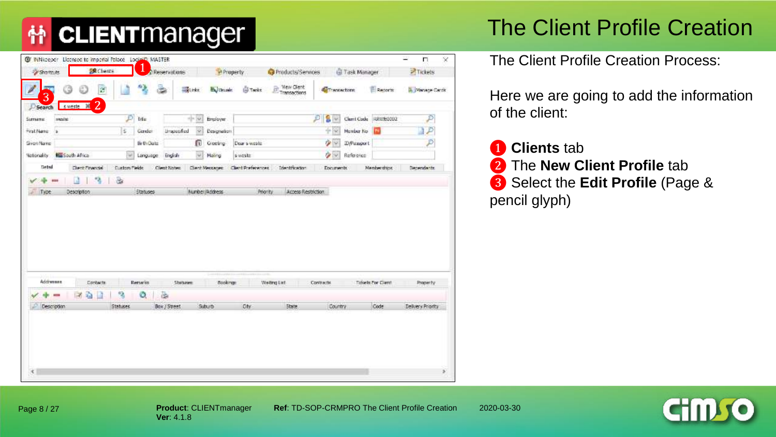## The Client Profile Creation

| <b>BR</b> Chents<br>Shortnuts                       |                 | 1                | Reservations |                                | <b><i>Property</i></b> | Products/Services  |                      | G Task Manager     |                           | Tickets           |
|-----------------------------------------------------|-----------------|------------------|--------------|--------------------------------|------------------------|--------------------|----------------------|--------------------|---------------------------|-------------------|
| <b>EXP</b><br>ø<br>3                                |                 | -2               | 3<br>SLinks. | <b>Maj University</b>          | <b>STarks</b>          | Wew Client         | <b>Williamschore</b> |                    | Records                   | A Manage Cards    |
| 2<br>sweste 30<br>Search<br><b>Sumario</b><br>washe | $D$ bis         |                  |              | $-1.4$<br>Engloyer             |                        |                    | S Y<br>£.            |                    | Clarri Code RRWE0002      | ₽                 |
| FratName a                                          | E               | Gender           | Unaposition  | $\omega$<br>Designation        |                        |                    | $+ 88$               | Mambur No          | m                         | Þ                 |
| Green Name                                          |                 | Br Er Datz       |              | <b>D</b> Geeing                | Dear s weste           |                    | $\rightarrow$        | <b>E</b> yPassport |                           | $\mathcal{D}$     |
| <b>Big South Africa</b><br>Nationality              | Set.            | Language English |              | $\omega$<br>Holing             | s wester               |                    | $\sim$               | Reference          |                           |                   |
| Detail<br>Clent Financial                           | Custom Fields   |                  | Clent Notes  | Clerk Messaces:                | Client Preferences     | Identification     | Documents:           |                    | Member drippi             | <b>Dependents</b> |
| Description                                         |                 | <b>Statuses</b>  |              | Number/Address                 | Priority.              | Access Restriction |                      |                    |                           |                   |
|                                                     |                 |                  |              |                                |                        |                    |                      |                    |                           |                   |
| Addresses<br><b>Contacts</b>                        |                 | Renarks          | Shinawe      | <b>Hillywoodin</b><br>Bookings |                        | Weiting List       | Contracts            |                    | <b>Tidosto For Client</b> | Property          |
| $a -$<br>Пđ.<br><b>START</b>                        | 3               | ۰                | 面            |                                |                        |                    |                      |                    |                           |                   |
| all Type<br>Description                             | <b>Statuses</b> |                  | Box / Street | Suburb                         | Otv                    | State:             | Country              |                    | Code                      | Delivery Priority |

The Client Profile Creation Process:

Here we are going to add the information of the client:

 **Clients** tab The **New Client Profile** tab Select the **Edit Profile** (Page & pencil glyph)

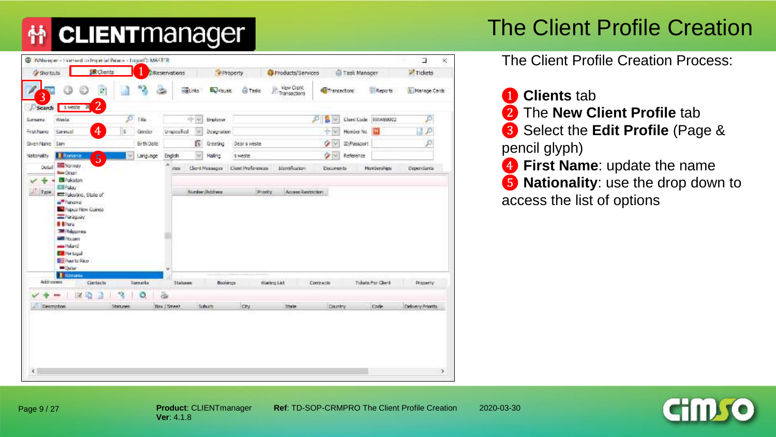#### The Client Profile Creation

| <b>Cy Shortouts</b> |                                         | <b>SR</b> Clients    |            | Reservations        | <b><i><i>V</i></i></b> Property |                   | <b>C</b> Products/Services  |                | Task Manager |                      | <sup>2</sup> Tidets |
|---------------------|-----------------------------------------|----------------------|------------|---------------------|---------------------------------|-------------------|-----------------------------|----------------|--------------|----------------------|---------------------|
| 3                   | හ                                       | 盆                    |            | -guides             | <b>Budit</b>                    | <b>Gi</b> Tasks   | View Cleric<br>Transactions | Transactors    |              | Reports              | In Manage Cards     |
| Search              | 5 Meste<br>-36                          | $\overline{2}$       |            |                     |                                 |                   |                             |                |              |                      |                     |
| <b>Sizmers</b>      | Wester                                  | ø                    | 14m        | nj+ 146             | Engloyer                        |                   |                             | Đ.<br>ū<br>w   |              | Clerri Code RRWE0002 | Đ                   |
| Fest Name           | Samuel                                  | $\overline{4}$<br>s. | Gander     | Unspecified<br>u    | Designation                     |                   |                             | $+10$          | Honber No.   |                      |                     |
| GveniNanie San      |                                         |                      | Birth Date | Ю                   | Greeting                        | Deer s weste      |                             | o<br><b>IX</b> | ID/Passcort  |                      |                     |
| <b>Nationality</b>  | <b>E Romania</b>                        | $\overline{5}$<br>u  | Language   | English<br>w        | Malino.                         | s weste           |                             | o<br>ŵ         | Reference    |                      |                     |
| Ootail              | <b>Hai Norway</b><br><b>Read Others</b> |                      |            | ofses               | Client Messages                 | Clerit Proformula | Identification              | Documents      |              | Monberships          | Dependants          |
|                     | <b>BEPakistan</b>                       |                      |            |                     |                                 |                   |                             |                |              |                      |                     |
| Type:               | Ell Palau                               |                      |            |                     | Number/Address                  | <b>Photity</b>    | Account Restriction         |                |              |                      |                     |
|                     | Palestino, State of                     |                      |            |                     |                                 |                   |                             |                |              |                      |                     |
|                     | Panama                                  |                      |            |                     |                                 |                   |                             |                |              |                      |                     |
|                     | <b>Pagua Novi Currea</b>                |                      |            |                     |                                 |                   |                             |                |              |                      |                     |
|                     | <b>TE Paraguay</b>                      |                      |            |                     |                                 |                   |                             |                |              |                      |                     |
|                     |                                         |                      |            |                     |                                 |                   |                             |                |              |                      |                     |
|                     | <b>I</b> Fou                            |                      |            |                     |                                 |                   |                             |                |              |                      |                     |
|                     | <b>200 Philosopher</b>                  |                      |            |                     |                                 |                   |                             |                |              |                      |                     |
|                     | <b>MELPACORTI</b>                       |                      |            |                     |                                 |                   |                             |                |              |                      |                     |
|                     | <b>Strait Found</b>                     |                      |            |                     |                                 |                   |                             |                |              |                      |                     |
|                     | <b>Differenced</b>                      |                      |            |                     |                                 |                   |                             |                |              |                      |                     |
|                     | Puerto Rico                             |                      |            |                     |                                 |                   |                             |                |              |                      |                     |
|                     | <b>WIDate</b>                           |                      |            |                     |                                 |                   |                             |                |              |                      |                     |
|                     | <b>B</b> Romana                         |                      |            |                     |                                 |                   |                             |                |              |                      |                     |
|                     | Addresses                               | Corriects            | Ramarka    | <b>Statuses</b>     | Baskings                        |                   | Warang List                 | Contracto      |              | Tickets Por Clerk    | Property            |
|                     |                                         |                      |            |                     |                                 |                   |                             |                |              |                      |                     |
|                     | <b>Call</b><br>r                        |                      | ٥          | ä                   |                                 |                   |                             |                |              |                      |                     |
|                     | Description                             | Sherusen.            |            | <b>Box / Street</b> | Schutz                          | <b>CPY</b>        | Toyle                       | Cruntry        |              | <b>Dode</b>          | Delivery Printity   |
|                     |                                         |                      |            |                     |                                 |                   |                             |                |              |                      |                     |
|                     |                                         |                      |            |                     |                                 |                   |                             |                |              |                      |                     |
|                     |                                         |                      |            |                     |                                 |                   |                             |                |              |                      |                     |
|                     |                                         |                      |            |                     |                                 |                   |                             |                |              |                      |                     |
|                     |                                         |                      |            |                     |                                 |                   |                             |                |              |                      |                     |
|                     |                                         |                      |            |                     |                                 |                   |                             |                |              |                      |                     |
|                     |                                         |                      |            |                     |                                 |                   |                             |                |              |                      |                     |
| $\mathbf{z}$        |                                         |                      |            |                     |                                 |                   |                             |                |              |                      | s                   |

The Client Profile Creation Process:

 **Clients** tab The **New Client Profile** tab Select the **Edit Profile** (Page & pencil glyph) First Name: update the name **Nationality**: use the drop down to access the list of options

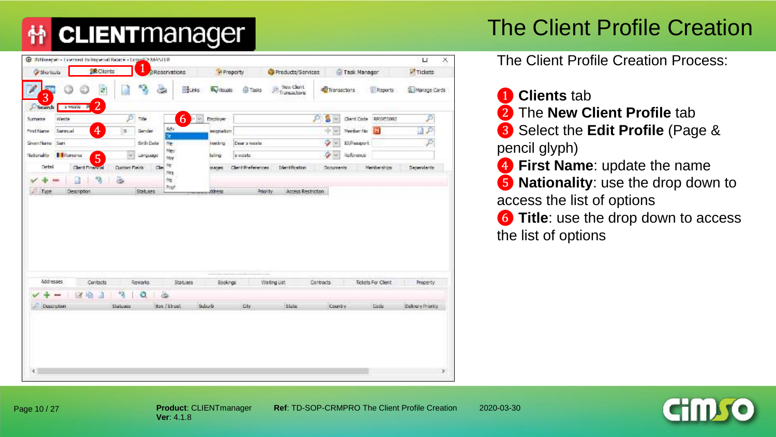## The Client Profile Creation

| <b>Shartouts</b>                                         | <b>SR</b> Clients    | <b>DReservations</b> |              | M Property       |                           | Products/Services                                  |                  | Task Manager     |                      | Tickets          |  |
|----------------------------------------------------------|----------------------|----------------------|--------------|------------------|---------------------------|----------------------------------------------------|------------------|------------------|----------------------|------------------|--|
| ඏ<br>3                                                   | ø                    | 隐<br>۵               | BLinks       | <b>By Vougle</b> | <b>GITASIS</b>            | <b>Way Clerit</b><br>$\frac{1}{\ F\ }$ Transactors | Transactions     |                  | <b>E</b> Reports     | Manage Cards     |  |
| $\overline{2}$<br>3 May 20<br>Search<br>Surname<br>Weste | Þ                    | Trie                 | 6<br>$-160$  | Employer         |                           |                                                    | s<br>P<br>$\sim$ |                  | Client Code RRWEDD02 | p                |  |
| $\overline{4}$<br>Post Name<br>Service                   | s                    | Gender               | Ad a         | weignieben       |                           |                                                    | <b>-100</b>      | Number No        | м                    |                  |  |
| SivenName San                                            |                      | Brth Date            | ör.<br>We    | <b>resting</b>   | Dear a week               |                                                    | s,<br>86         | 10 Pangort       |                      | Þ                |  |
| <b>I Riturnama</b><br>Nationality<br>$\overline{5}$      | $\sim$               | Language             | Mey<br>Mrr   | laing            | s weste                   |                                                    | s,<br>(w)        | <b>Reference</b> |                      |                  |  |
| Octol<br><b>Clent Financial</b>                          | <b>Custom Fields</b> | $\alpha$             | Mr<br>Mirs   | <b>DOMESTIC</b>  | <b>Client Preferences</b> | <b>Identification</b>                              | Documents        |                  | Memberships:         | Dependents       |  |
| 箔                                                        | ä.                   |                      | Ns.          |                  |                           |                                                    |                  |                  |                      |                  |  |
| Tipe.<br>Description                                     |                      | Statuses.            | Prof         |                  |                           | Access Restriction                                 |                  |                  |                      |                  |  |
|                                                          |                      |                      |              | ddress           | Priority                  |                                                    |                  |                  |                      |                  |  |
| Addresses                                                |                      |                      |              |                  |                           |                                                    |                  |                  |                      |                  |  |
| Contacts<br><b>Board</b>                                 |                      | Remarks.             | Statuses     | Gookings         |                           | Waiting Ust                                        | Contracts.       |                  | Tickets For Client   | Property         |  |
| 嶹<br>×<br>a<br>Description                               | 仔<br><b>Statuses</b> | ٥<br>۵               | Box / Street | Suburb.          | <b>DI</b>                 | State.                                             | Country          |                  | Dadie                | Delivery Phonicy |  |
|                                                          |                      |                      |              |                  |                           |                                                    |                  |                  |                      |                  |  |

The Client Profile Creation Process:

❶ **Clients** tab ❷ The **New Client Profile** tab ❸ Select the **Edit Profile** (Page & pencil glyph) ❹ **First Name**: update the name ❺ **Nationality**: use the drop down to access the list of options *G* Title: use the drop down to access the list of options

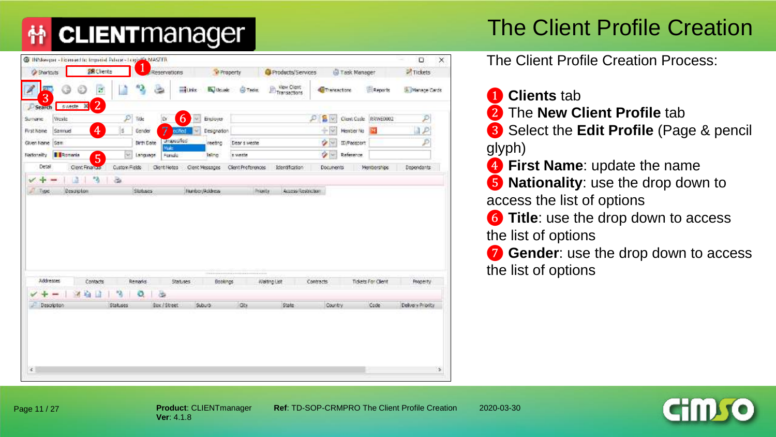## The Client Profile Creation

| View Clent<br>43<br><b>Card</b><br>Reports<br>B.<br><b>Ethic</b><br><b>By Visuale</b><br><b>GFT Lider</b><br>Thereactors<br><b>CONTROL</b><br>3<br>2 <sup>1</sup><br>sweete 30<br>Search<br>6<br>$\mathcal{P}$<br>Ď<br>$\mathbf{S}$<br>D<br>Clerit Caste RRWE0002<br>Vicato<br>Tide<br><b>D</b><br>Ensigner<br>Surright<br>₩Ē<br>$\overline{4}$<br>7<br>3P<br>s<br>十家<br>Samnuel<br><b>Hender No</b><br><b>First Name</b><br>Gender<br>eched<br>м<br>Designation<br><b>Unspecified</b><br>$\rightarrow$<br>₽<br>Given Name Sam<br>Birth Date<br>ID/Passport<br>reeting<br>Dear's weste<br>Wale<br>少一<br>$\omega$<br>Romania<br>Reference<br>Nationality<br>Language<br>Foredo<br>s weste<br>$\overline{5}$<br><b>Isling</b><br>Detail<br>Clent Financial<br>Custom Fields<br>Cient Messages<br>Memberships<br>Client Notes<br>Client Preferences<br>Identification<br>Documents<br>Dependants<br>٠<br>$\tilde{\omega}$<br>T3<br>÷<br>୰<br><b>Service</b><br>Description<br><b>Statuscs</b><br>Number/Address<br>Priority<br>Access Restriction<br>R<br>Type<br>----------<br>---------------<br><br><b>Addresses</b><br>Contacts<br>Remarks<br>Bookings<br>Walting List<br>Contracts<br>Tickets For Client<br>Statuses<br>Property<br>竈<br>٩<br>Ð<br>٥<br>涵<br>28<br>$\equiv$<br>State<br>Code<br>Box / Street<br>Suburb.<br>Gbi<br>Country<br>Delivery Priority<br>Description:<br><b>Statuses</b> | <b>Shortcuts</b> | <b>28 Clients</b> | Regenvations | <b><i>Di</i></b> Property | Products/Services | Task Manager | -Tickets         |
|-----------------------------------------------------------------------------------------------------------------------------------------------------------------------------------------------------------------------------------------------------------------------------------------------------------------------------------------------------------------------------------------------------------------------------------------------------------------------------------------------------------------------------------------------------------------------------------------------------------------------------------------------------------------------------------------------------------------------------------------------------------------------------------------------------------------------------------------------------------------------------------------------------------------------------------------------------------------------------------------------------------------------------------------------------------------------------------------------------------------------------------------------------------------------------------------------------------------------------------------------------------------------------------------------------------------------------------------------------------------------------------------------------|------------------|-------------------|--------------|---------------------------|-------------------|--------------|------------------|
|                                                                                                                                                                                                                                                                                                                                                                                                                                                                                                                                                                                                                                                                                                                                                                                                                                                                                                                                                                                                                                                                                                                                                                                                                                                                                                                                                                                                     |                  |                   |              |                           |                   |              | Ski Manage Cards |
|                                                                                                                                                                                                                                                                                                                                                                                                                                                                                                                                                                                                                                                                                                                                                                                                                                                                                                                                                                                                                                                                                                                                                                                                                                                                                                                                                                                                     |                  |                   |              |                           |                   |              |                  |
|                                                                                                                                                                                                                                                                                                                                                                                                                                                                                                                                                                                                                                                                                                                                                                                                                                                                                                                                                                                                                                                                                                                                                                                                                                                                                                                                                                                                     |                  |                   |              |                           |                   |              |                  |
|                                                                                                                                                                                                                                                                                                                                                                                                                                                                                                                                                                                                                                                                                                                                                                                                                                                                                                                                                                                                                                                                                                                                                                                                                                                                                                                                                                                                     |                  |                   |              |                           |                   |              |                  |
|                                                                                                                                                                                                                                                                                                                                                                                                                                                                                                                                                                                                                                                                                                                                                                                                                                                                                                                                                                                                                                                                                                                                                                                                                                                                                                                                                                                                     |                  |                   |              |                           |                   |              |                  |
|                                                                                                                                                                                                                                                                                                                                                                                                                                                                                                                                                                                                                                                                                                                                                                                                                                                                                                                                                                                                                                                                                                                                                                                                                                                                                                                                                                                                     |                  |                   |              |                           |                   |              |                  |
|                                                                                                                                                                                                                                                                                                                                                                                                                                                                                                                                                                                                                                                                                                                                                                                                                                                                                                                                                                                                                                                                                                                                                                                                                                                                                                                                                                                                     |                  |                   |              |                           |                   |              |                  |
|                                                                                                                                                                                                                                                                                                                                                                                                                                                                                                                                                                                                                                                                                                                                                                                                                                                                                                                                                                                                                                                                                                                                                                                                                                                                                                                                                                                                     |                  |                   |              |                           |                   |              |                  |
|                                                                                                                                                                                                                                                                                                                                                                                                                                                                                                                                                                                                                                                                                                                                                                                                                                                                                                                                                                                                                                                                                                                                                                                                                                                                                                                                                                                                     |                  |                   |              |                           |                   |              |                  |
|                                                                                                                                                                                                                                                                                                                                                                                                                                                                                                                                                                                                                                                                                                                                                                                                                                                                                                                                                                                                                                                                                                                                                                                                                                                                                                                                                                                                     |                  |                   |              |                           |                   |              |                  |

The Client Profile Creation Process:

❶ **Clients** tab ❷ The **New Client Profile** tab

❸ Select the **Edit Profile** (Page & pencil glyph)

**<sup>4</sup>** First Name: update the name

❺ **Nationality**: use the drop down to access the list of options

*G* Title: use the drop down to access the list of options

❼ **Gender**: use the drop down to access the list of options

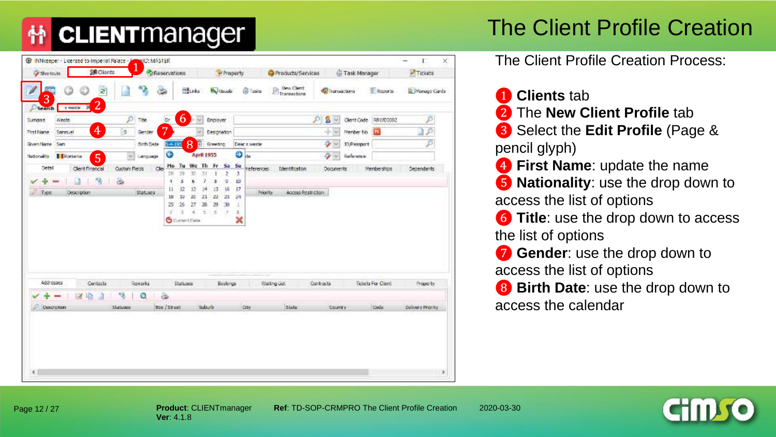#### The Client Profile Creation

|                               | <b>Shortnuts</b>                              | <b>操Oknts</b>              | Reservations      |                     |                                     |                                            |                       | <b>M</b> Property                         |                 | Products/Services         |                    |                            | Task Manager |                      | <b>PTIckets</b> |
|-------------------------------|-----------------------------------------------|----------------------------|-------------------|---------------------|-------------------------------------|--------------------------------------------|-----------------------|-------------------------------------------|-----------------|---------------------------|--------------------|----------------------------|--------------|----------------------|-----------------|
| 3                             | G                                             | z                          |                   | $\frac{1}{2}$       | State                               |                                            |                       | <b>By Viscola</b>                         | <b>Q Tiplo</b>  | Vew Clerit<br>Transactors |                    | Thataactions               |              | <b>E</b> Room by     | Manage Carda    |
| Search<br><b>Sumarre</b>      | $\overline{2}$<br>×<br><b>LINKER</b><br>Weste | p                          | Title             | De                  | $\mathbf b$                         | $-1$                                       | Enginyer              |                                           |                 |                           | ЮI                 | $2^{\circ}$                |              | Clent Code RRIVE0002 | P               |
| <b>First Name</b>             | $\overline{4}$<br>Sarmjel                     | $\overline{5}$             | Gender            | 7                   |                                     | w)                                         | <b>Designation</b>    |                                           |                 |                           |                    | $+38$                      | Member No.   | м                    | $\mathcal{P}$   |
| Given Name Sam                |                                               |                            | <b>Birth Date</b> | $14 - 195$          | 8                                   |                                            | <b>Creating</b>       |                                           | Dear clueste    |                           |                    | $\rightarrow$              | D.Passport   |                      | Þ               |
| <b>Nationality Editoriana</b> | 5                                             | S.                         | Language          | ٥                   |                                     | April 1955                                 |                       |                                           | $\mathbf{O}$ in |                           |                    | $\mathcal{L}_{\mathbf{F}}$ | Reference    |                      |                 |
| Octof                         | Client Financial<br>51<br>Тă                  | <b>Oustom Fields</b><br>U. | $C_{\rm 2D}$      | Ho<br>28<br>×,      | 29<br>š                             | 30.<br>31<br>У<br>ь                        | $\mathbf{I}$<br>۰     | Tu We Th Fr Sa Su<br>z<br>л<br>÷<br>10    | references.     | Identification            |                    | Documents:                 |              | Memberships          | Dependants      |
| Type:                         | Description.                                  |                            | Statuses.         | 11<br>18<br>25<br>۰ | 12<br>12<br>26<br>n<br>Current Date | 13<br>24<br>21<br>20<br>28<br>27<br>£<br>× | 15<br>22<br>29<br>- 5 | 17<br>16<br>25<br>24<br>30<br>w<br>п<br>× |                 | <b>Frionty</b>            | Access Restriction |                            |              |                      |                 |
| Addresses                     | Contacts                                      |                            | Royarks           |                     | Etatuses                            |                                            | ---------             | Bookings                                  |                 | Walling Got               |                    | Contracts                  |              | Tickets For Client   | Proper Ly.      |
|                               | <b>IN ID</b>                                  | 恃                          | ۰                 | ä                   |                                     |                                            |                       |                                           |                 |                           |                    |                            |              |                      |                 |

The Client Profile Creation Process:

 **Clients** tab The **New Client Profile** tab Select the **Edit Profile** (Page & pencil glyph) **First Name**: update the name **Nationality**: use the drop down to access the list of options Title: use the drop down to access the list of options **Gender**: use the drop down to access the list of options Birth Date: use the drop down to

access the calendar



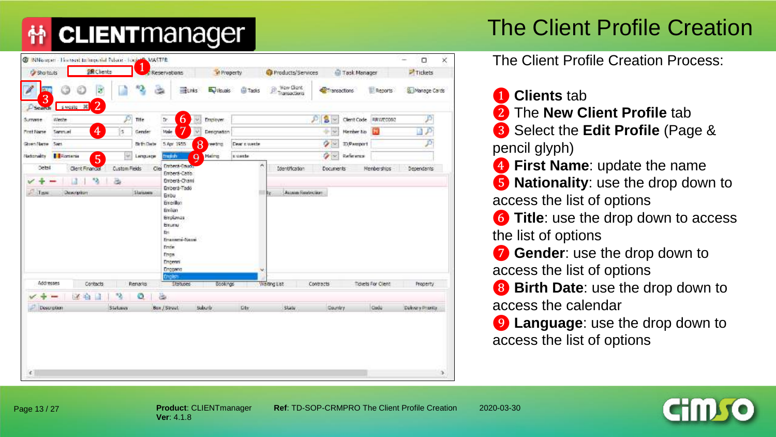#### The Client Profile Creation

|                                               | <b>SR</b> Clients                       | 1                             | Reservations                                                                | <b>M</b> Property |                | Products/Services            |                               | Task Manager      |                    | Tickets             |
|-----------------------------------------------|-----------------------------------------|-------------------------------|-----------------------------------------------------------------------------|-------------------|----------------|------------------------------|-------------------------------|-------------------|--------------------|---------------------|
| <b>BU</b><br>3                                | B                                       | $\mathcal{H}_{\mathcal{A}_1}$ | ELinks <sup></sup>                                                          | <b>Budy</b>       | <b>Cocks</b>   | (b) Way Gare<br>Transactions | <b><i><u>etherene</u></i></b> |                   | Reports            | Manage Cards        |
| sweate 30<br><b>Beardt</b><br>Weste<br>Summer | $\overline{2}$<br>P.                    | Title                         | 6<br>Dr.<br>M.                                                              | Engines:          |                |                              | $s_{\rm F}$                   | Client Code       | RRWE0002           |                     |
| Sammuel<br>Pinet Name                         | ♦<br>s.                                 | Gender                        | <b>Vole</b><br>M.                                                           | Desgraton         |                |                              | 0.14                          | Member No         | $\bullet$          | $\mathcal{P}$<br>L. |
| Ghen Name Sant                                |                                         | <b>Briti Date</b>             | 8<br>5 Apr 1955                                                             | reeting.          | Dear clueste   |                              | $\sim$                        | <b>D</b> /Pamport |                    | ₽                   |
| Romania<br>Nationality                        | He.<br>5                                | Lenguege                      | thing<br>$\Omega$                                                           | Mating            | <b>Kivette</b> |                              | $\sim$                        | Reference         |                    |                     |
| Detail                                        | <b>Custom Fields</b><br>Clent Financial | Cler                          | Embera-Bauos<br>Emberá-Catio.                                               |                   | ۸              | <b>Identification</b>        | <b>Documents</b>              |                   | <b>Memberships</b> | Dependants          |
|                                               | 桶<br>函                                  |                               | Emberá-Chami                                                                |                   |                |                              |                               |                   |                    |                     |
|                                               |                                         |                               | <b>Enursu</b><br>Bi.<br>Enawers-Nawe<br>Ende<br>Fros.<br>Dogenri<br>Enggang |                   |                |                              |                               |                   |                    |                     |
|                                               |                                         |                               |                                                                             |                   |                |                              |                               |                   |                    |                     |
|                                               |                                         |                               | mate                                                                        |                   |                |                              |                               |                   |                    |                     |
| Addresses                                     | Contacts                                | Renado                        | Statuses                                                                    | Bookings          |                | Walting List                 | Contracts                     |                   | Tidets For Client  | Property:           |
| GK.<br>Description                            | 喳<br>$\mathbf{a}$<br>Statuson           | o                             | ä<br>Box / Street                                                           | Suburb            | <b>Dty</b>     | Statu                        | Country                       |                   | Code               | Delivery Phoney     |

The Client Profile Creation Process:

❶ **Clients** tab

❷ The **New Client Profile** tab ❸ Select the **Edit Profile** (Page & pencil glyph) **4** First Name: update the name ❺ **Nationality**: use the drop down to access the list of options **6** Title: use the drop down to access the list of options *T* Gender: use the drop down to access the list of options **8** Birth Date: use the drop down to

access the calendar

❾ **Language**: use the drop down to access the list of options



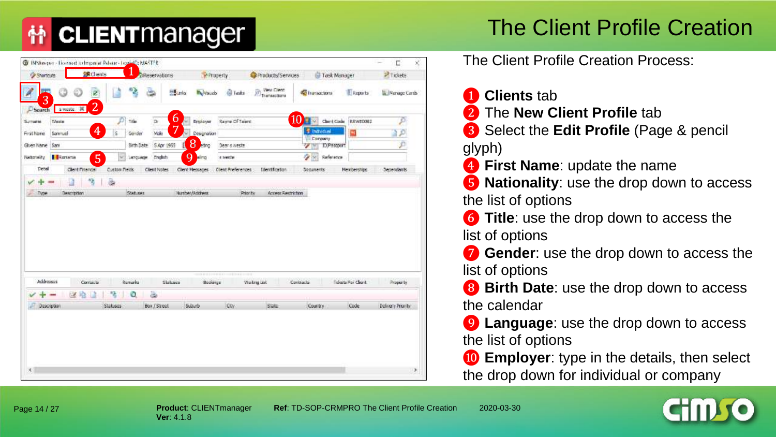## The Client Profile Creation

| <b>Shortcutt</b>                          | <b>SR</b> Chents |                | <b>PReservations</b> |                 | Property           |                   | Products/Services                                         | Task Manager                 |                    | 2 Tickets         |
|-------------------------------------------|------------------|----------------|----------------------|-----------------|--------------------|-------------------|-----------------------------------------------------------|------------------------------|--------------------|-------------------|
| 54<br>3                                   | ø                |                |                      | <b>Hillarda</b> | <b>The Visions</b> | G Taski           | <b>Vest Clent</b><br>$\widehat{\mathcal{P}}$ Transactions | <b>So Transactions</b>       | <b>E</b> Reports   | Nenage Cards      |
| sweats. W<br>Search<br>Wester<br>Summersi | $\overline{2}$   | $D$ take       | Dr.                  | 6<br>W3         | Employer           | Rayne Of Talent   |                                                           | 10 dent Code REVIETORI       |                    | p                 |
| Frist Name<br>Samuel                      | 4<br>is.         | Gender         | <b>Vide</b>          |                 | v Designation      |                   |                                                           | <b>E</b> Inducted            | m                  | Đ                 |
| Given hame Sant                           |                  | Sith Date      | 5 Apr 1955           |                 | 8<br>etho-         | Dear ownests      |                                                           | <b>Company</b><br>D/Pastport |                    | p                 |
| Romana<br>Nationality                     | $\overline{5}$   | LATCUADE<br>W. | English              |                 | <b>O</b> sing      | a teacher         |                                                           | <b>CARD</b><br>Reference     |                    |                   |
| Detail                                    | Clent Financial  | Custow Neids   | Client Nobec         |                 | Clent Messages     | Clent Preferences | Identification                                            | Documents:                   | <b>Hemberships</b> | Dependants        |
|                                           | 涵<br>3           |                |                      |                 |                    |                   |                                                           |                              |                    |                   |
| Type<br>Description                       |                  | Statuses       |                      |                 | Number/Address     | Priority          | Access Restriction                                        |                              |                    |                   |
|                                           |                  |                |                      |                 | -----------------  |                   |                                                           |                              |                    |                   |
| Addresses                                 | Contactu         | Remarks        |                      | Slabaca         | Bookings           |                   | Watng Upt                                                 | Contracts                    | Fiskets For Client | Property          |
| <b>Spirant</b>                            | 陆<br>改给!         | ٥              | 齒                    |                 |                    |                   |                                                           |                              |                    |                   |
| Description                               | Statuses         |                | Box / Street         |                 | Suid               | icay.             | State                                                     | Country                      | Code               | Delivery Priority |

The Client Profile Creation Process:

❶ **Clients** tab

❷ The **New Client Profile** tab

❸ Select the **Edit Profile** (Page & pencil

glyph)

**4** First Name: update the name

❺ **Nationality**: use the drop down to access the list of options

**6** Title: use the drop down to access the list of options

❼ **Gender**: use the drop down to access the list of options

**8** Birth Date: use the drop down to access the calendar

❾ **Language**: use the drop down to access the list of options

*ID* Employer: type in the details, then select the drop down for individual or company

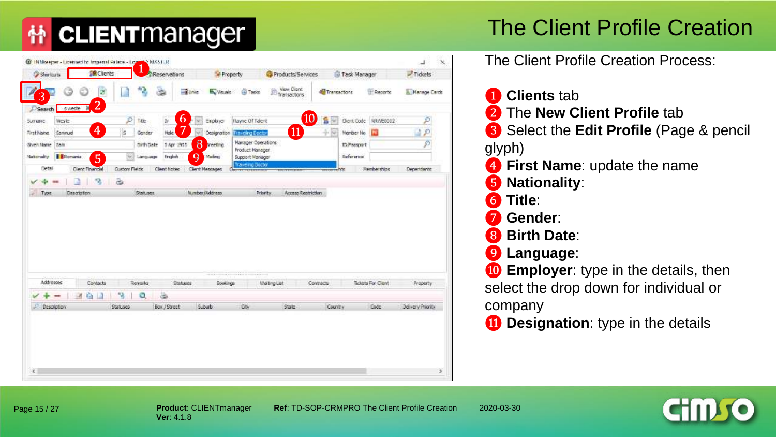## The Client Profile Creation

| <b>Stortuts</b>                 | <b>SR</b> Clients |                      |                   | Reservations      |                       | Property               |                                                | Products/Services   |                  | Task Manager |                     | $P$ Tickets           |  |
|---------------------------------|-------------------|----------------------|-------------------|-------------------|-----------------------|------------------------|------------------------------------------------|---------------------|------------------|--------------|---------------------|-----------------------|--|
|                                 | ø                 |                      | ч.                |                   | -Tunks                | <b>B.</b> Visuals      | <b>EN Tapit</b>                                | Wew Clerk           | Transactors      |              | <b>EL Reports</b>   | A. Manage Cards       |  |
| <b>Exweste</b> #<br>Search      | $\overline{2}$    |                      |                   |                   |                       |                        |                                                |                     |                  |              |                     |                       |  |
| Wester<br>Биткие                |                   | $\mathcal{P}$        | Title             | Dr.               | $\mathbf b$<br>$\sim$ | Exployer               | <b>Hayne Of Talent</b>                         | $\overline{10}$     | S<br>84          |              | Clent Code 58W60002 | Þ                     |  |
| First Name<br>Samnuel           | $\overline{4}$    | s                    | Gender            | <b>Viole</b>      | w                     | Designation            | <b>Traveling Doctor</b>                        | $\bf{11}$           | $+8$             | Member No    | ш                   | $\rightarrow$ $\circ$ |  |
| <b>Siven Name Sam</b>           |                   |                      | <b>Birth Date</b> | 5 Apr : 855       | 8                     | <b>Interfing</b>       | Manager Operations<br>Product Hanager          |                     |                  | ID/Paesport  |                     | Þ                     |  |
| <b>E</b> Romania<br>Nationality | $\overline{5}$    | 52                   | Language          | English           | q                     | Madre)                 | Support Manager                                |                     |                  | Reference    |                     |                       |  |
| Detail.                         | Clent Financial   | <b>Custom Fleids</b> |                   | Client Notes      |                       | <b>Client Messages</b> | <b>Traveling Doctor</b><br><b>PETTERPENDEN</b> | <b>TIRCYYS WERE</b> | <b>PERMITTED</b> |              | Nemberships         | Dependents            |  |
| Type.                           | 偽<br>Description  | 函                    | Statuses:         |                   |                       | Number Middness        | Priority                                       | Access Restriction  |                  |              |                     |                       |  |
|                                 |                   |                      |                   |                   |                       |                        |                                                |                     |                  |              |                     |                       |  |
| Addresses                       | Contacts          |                      |                   |                   | <b>Statuses</b>       |                        |                                                |                     |                  |              |                     |                       |  |
|                                 | ×                 |                      | Reverlis<br>۰     |                   |                       | <b>Sookings</b>        |                                                | Walling List        | Contracts        |              | Tickets For Clerift | Property              |  |
| Description                     | 宿日                | 9<br>Statuses        |                   | 齒<br>Bux / Street |                       | Suburb.                | <b>Otv</b>                                     | State               | Country          |              | Dode:               | Delivery Priority     |  |

The Client Profile Creation Process:

 **Clients** tab The **New Client Profile** tab Select the **Edit Profile** (Page & pencil glyph) First Name: update the name **Nationality**: **Title**: **Gender**: **Birth Date**: **Language**: **<sup>10</sup>** Employer: type in the details, then select the drop down for individual or company *O* Designation: type in the details

Page 15 / 27

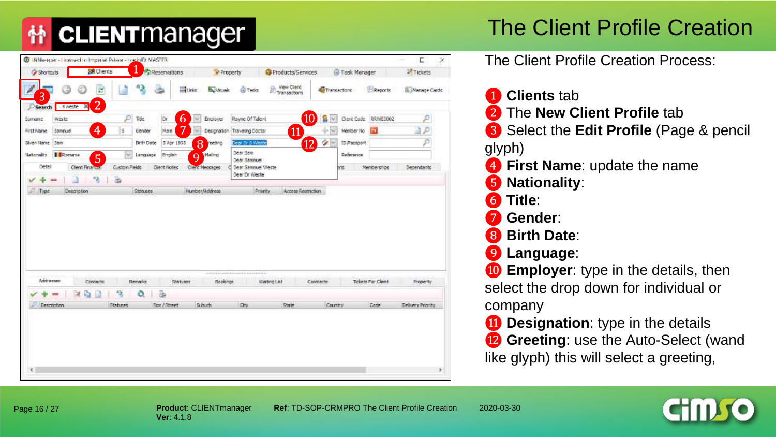## The Client Profile Creation

| View Olent<br>窗<br>militär.<br>Transactions<br><b>O</b> Tadas<br><b>Bu</b> Visuale<br>Transactons<br>Reports<br>3<br>$\overline{2}$<br>sweete 3<br>Search<br><b>10 B</b><br>Þ<br>6<br><b>Dr</b><br>Rayne Of Talent<br>Dienk Code RRWIED002<br><b>Trác</b><br>Ensiyer<br><b>Surnane</b><br>v.<br>wester<br>7<br>$\overline{4}$<br>11<br>a p<br>s<br>Nale<br>M<br>Samnuel<br>Gender<br>Traveling Doctor<br>Mentter No.<br>First Name<br>Designation<br>÷<br>$\overline{12}$<br>£<br>8<br>Shen Name (Sam)<br><b>Birth Date</b><br>5 Apr 1955<br>Dear Dr S Weitte<br>۰<br>ID/Paesport<br>reents.<br>Dear Sam<br>Romana<br>$\sim$<br>Nationality<br>Limqueon<br>English:<br>Maling<br>Reference<br>$\overline{5}$<br>$\mathbf Q$<br>Dear Samnuel<br>Detail<br>Clent Finance<br>Custom Fields<br>Memberships<br>Client Notes<br>Dear Samnuel Weste<br>Clent Messages<br>ms<br>Dear Dr Weste<br>箔<br>面<br>л<br>Type<br>Desgription<br><b>Statuses</b><br>Number/Address<br>Priority<br>Access Restriction<br>Addresser<br>Tickets For Clent<br>Contacts.<br>Regulator.<br>Statutes<br>Bookings<br>Wwiting List<br>Contracte<br>驽<br>٥<br>a,<br>函<br>South<br>City<br>State<br>Country<br>Desatistion<br>Date:<br>Statuers<br>Sox / Street<br>Delivery Priority | <b>Cy Shortouts</b> | <b>SR</b> Chemis |  | <b>Passervations</b> | W Property | Products/Services | <b>IS Task Manager</b> | <b>P</b> Tickets       |
|---------------------------------------------------------------------------------------------------------------------------------------------------------------------------------------------------------------------------------------------------------------------------------------------------------------------------------------------------------------------------------------------------------------------------------------------------------------------------------------------------------------------------------------------------------------------------------------------------------------------------------------------------------------------------------------------------------------------------------------------------------------------------------------------------------------------------------------------------------------------------------------------------------------------------------------------------------------------------------------------------------------------------------------------------------------------------------------------------------------------------------------------------------------------------------------------------------------------------------------------------------|---------------------|------------------|--|----------------------|------------|-------------------|------------------------|------------------------|
|                                                                                                                                                                                                                                                                                                                                                                                                                                                                                                                                                                                                                                                                                                                                                                                                                                                                                                                                                                                                                                                                                                                                                                                                                                                         |                     |                  |  |                      |            |                   |                        | <b>B. Manage Cards</b> |
|                                                                                                                                                                                                                                                                                                                                                                                                                                                                                                                                                                                                                                                                                                                                                                                                                                                                                                                                                                                                                                                                                                                                                                                                                                                         |                     |                  |  |                      |            |                   |                        |                        |
|                                                                                                                                                                                                                                                                                                                                                                                                                                                                                                                                                                                                                                                                                                                                                                                                                                                                                                                                                                                                                                                                                                                                                                                                                                                         |                     |                  |  |                      |            |                   |                        | p                      |
|                                                                                                                                                                                                                                                                                                                                                                                                                                                                                                                                                                                                                                                                                                                                                                                                                                                                                                                                                                                                                                                                                                                                                                                                                                                         |                     |                  |  |                      |            |                   |                        |                        |
|                                                                                                                                                                                                                                                                                                                                                                                                                                                                                                                                                                                                                                                                                                                                                                                                                                                                                                                                                                                                                                                                                                                                                                                                                                                         |                     |                  |  |                      |            |                   |                        |                        |
|                                                                                                                                                                                                                                                                                                                                                                                                                                                                                                                                                                                                                                                                                                                                                                                                                                                                                                                                                                                                                                                                                                                                                                                                                                                         |                     |                  |  |                      |            |                   |                        |                        |
|                                                                                                                                                                                                                                                                                                                                                                                                                                                                                                                                                                                                                                                                                                                                                                                                                                                                                                                                                                                                                                                                                                                                                                                                                                                         |                     |                  |  |                      |            |                   |                        | Dependants             |
|                                                                                                                                                                                                                                                                                                                                                                                                                                                                                                                                                                                                                                                                                                                                                                                                                                                                                                                                                                                                                                                                                                                                                                                                                                                         |                     |                  |  |                      |            |                   |                        |                        |
|                                                                                                                                                                                                                                                                                                                                                                                                                                                                                                                                                                                                                                                                                                                                                                                                                                                                                                                                                                                                                                                                                                                                                                                                                                                         |                     |                  |  |                      |            |                   |                        |                        |
|                                                                                                                                                                                                                                                                                                                                                                                                                                                                                                                                                                                                                                                                                                                                                                                                                                                                                                                                                                                                                                                                                                                                                                                                                                                         |                     |                  |  |                      |            |                   |                        |                        |
|                                                                                                                                                                                                                                                                                                                                                                                                                                                                                                                                                                                                                                                                                                                                                                                                                                                                                                                                                                                                                                                                                                                                                                                                                                                         |                     |                  |  |                      |            |                   |                        | Property               |
|                                                                                                                                                                                                                                                                                                                                                                                                                                                                                                                                                                                                                                                                                                                                                                                                                                                                                                                                                                                                                                                                                                                                                                                                                                                         |                     |                  |  |                      |            |                   |                        |                        |

The Client Profile Creation Process:

❶ **Clients** tab ❷ The **New Client Profile** tab ❸ Select the **Edit Profile** (Page & pencil glyph) **4** First Name: update the name ❺ **Nationality**: ❻ **Title**: ❼ **Gender**: ❽ **Birth Date**: ❾ **Language**: **<sup>10</sup> Employer**: type in the details, then select the drop down for individual or company *O* Designation: type in the details **B** Greeting: use the Auto-Select (wand like glyph) this will select a greeting,

Page 16 / 27

**Product**: CLIENTmanager **Ref**: TD-SOP-CRMPRO The Client Profile Creation 2020-03-30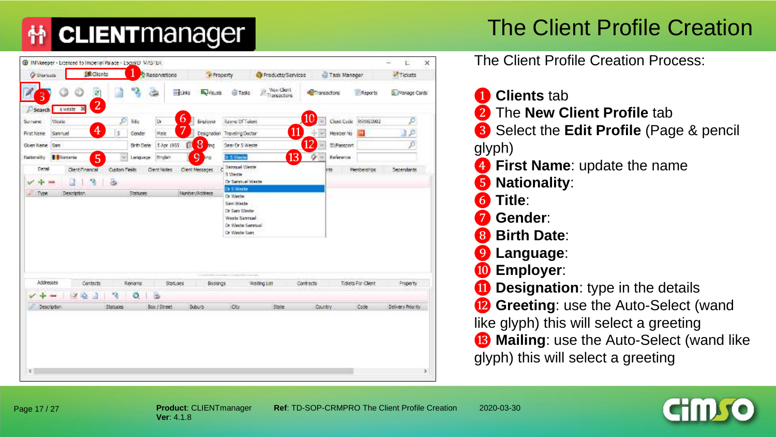#### The Client Profile Creation

| <b>Wew Client</b><br>$\mathbf{u}_\phi$<br>$\mathbb{Z}$<br>-planks<br>Below <sub>14</sub><br><b>E</b> Reports<br><b>GTTasks</b><br><b>PT</b> Transactions<br><b>C</b> Transactions<br>3<br>$\overline{2}$<br>sweste<br>Search<br>[10]<br>6<br>ø<br>p<br>RAVIED002<br>Title<br><b>Dr</b><br>Rayne Of Tolent<br>Clerit Code<br>Weago<br>Engloyer<br>Surright<br>$\overline{4}$<br><b>11</b><br>5<br>Naie<br>First Name<br>Samnuel<br>Desgnation<br>Traveling Doctor<br>Member No.<br>Gender<br>$\overline{12}$<br>8<br>в<br>5 Apr 1955<br>Dear Or S Weete<br>Given Name Sam<br><b>Birth Date</b><br><b>TI/Passport</b><br><b>And</b><br>$\overline{13}$<br>5<br>9<br>۰<br>$\sim$<br><b>Carrania</b><br><b>3r S Wester</b><br>Reference<br><b>Broken</b><br>Nationality<br>Lenguege<br>khti<br>Sampuel Weste<br>Detail<br>Clent Financial<br>Custom Fields<br>Clent Notes<br>Client Messages<br>Memberships<br>Dependants<br><b>nts</b><br>S Wester<br>医<br>$\mathcal{P}_{\mathcal{G}}$<br>Dr Saranjal Waste<br>Lì<br>$\overline{\phantom{a}}$<br>Dr. 5 Weets<br>Number/Address<br>Description<br>Statuere<br>Type.<br>Dr Wester<br>Sam Weste<br>Dr Sars Wester<br><b>Weste Serroad</b><br>Dr Weste Servuel<br>Dr Weste Sam<br>The control of the company of the control of the control of the control of<br>Addresses<br>Tickets For Client<br>Contacts<br>Renans<br>Statuses<br>Bookings<br>Waiting List<br>Contracts<br>Property<br>蝠<br>٥<br>x<br>$\sim$<br>Э<br>Suburb<br>Civ<br>State<br>Code<br>Description<br><b>Statuses</b><br>Box / Street<br>Country | <b>Cy Shortsum</b> | <b>&amp; Clients</b> |  | Reservations | <b>A Property</b> | Products/Services | G Task Manager | Tickets           |
|--------------------------------------------------------------------------------------------------------------------------------------------------------------------------------------------------------------------------------------------------------------------------------------------------------------------------------------------------------------------------------------------------------------------------------------------------------------------------------------------------------------------------------------------------------------------------------------------------------------------------------------------------------------------------------------------------------------------------------------------------------------------------------------------------------------------------------------------------------------------------------------------------------------------------------------------------------------------------------------------------------------------------------------------------------------------------------------------------------------------------------------------------------------------------------------------------------------------------------------------------------------------------------------------------------------------------------------------------------------------------------------------------------------------------------------------------------------------------------------------------------------------------------------------------------------|--------------------|----------------------|--|--------------|-------------------|-------------------|----------------|-------------------|
|                                                                                                                                                                                                                                                                                                                                                                                                                                                                                                                                                                                                                                                                                                                                                                                                                                                                                                                                                                                                                                                                                                                                                                                                                                                                                                                                                                                                                                                                                                                                                              |                    |                      |  |              |                   |                   |                | Wanage Cards      |
|                                                                                                                                                                                                                                                                                                                                                                                                                                                                                                                                                                                                                                                                                                                                                                                                                                                                                                                                                                                                                                                                                                                                                                                                                                                                                                                                                                                                                                                                                                                                                              |                    |                      |  |              |                   |                   |                |                   |
|                                                                                                                                                                                                                                                                                                                                                                                                                                                                                                                                                                                                                                                                                                                                                                                                                                                                                                                                                                                                                                                                                                                                                                                                                                                                                                                                                                                                                                                                                                                                                              |                    |                      |  |              |                   |                   |                |                   |
|                                                                                                                                                                                                                                                                                                                                                                                                                                                                                                                                                                                                                                                                                                                                                                                                                                                                                                                                                                                                                                                                                                                                                                                                                                                                                                                                                                                                                                                                                                                                                              |                    |                      |  |              |                   |                   |                |                   |
|                                                                                                                                                                                                                                                                                                                                                                                                                                                                                                                                                                                                                                                                                                                                                                                                                                                                                                                                                                                                                                                                                                                                                                                                                                                                                                                                                                                                                                                                                                                                                              |                    |                      |  |              |                   |                   |                |                   |
|                                                                                                                                                                                                                                                                                                                                                                                                                                                                                                                                                                                                                                                                                                                                                                                                                                                                                                                                                                                                                                                                                                                                                                                                                                                                                                                                                                                                                                                                                                                                                              |                    |                      |  |              |                   |                   |                |                   |
|                                                                                                                                                                                                                                                                                                                                                                                                                                                                                                                                                                                                                                                                                                                                                                                                                                                                                                                                                                                                                                                                                                                                                                                                                                                                                                                                                                                                                                                                                                                                                              |                    |                      |  |              |                   |                   |                |                   |
|                                                                                                                                                                                                                                                                                                                                                                                                                                                                                                                                                                                                                                                                                                                                                                                                                                                                                                                                                                                                                                                                                                                                                                                                                                                                                                                                                                                                                                                                                                                                                              |                    |                      |  |              |                   |                   |                |                   |
|                                                                                                                                                                                                                                                                                                                                                                                                                                                                                                                                                                                                                                                                                                                                                                                                                                                                                                                                                                                                                                                                                                                                                                                                                                                                                                                                                                                                                                                                                                                                                              |                    |                      |  |              |                   |                   |                |                   |
|                                                                                                                                                                                                                                                                                                                                                                                                                                                                                                                                                                                                                                                                                                                                                                                                                                                                                                                                                                                                                                                                                                                                                                                                                                                                                                                                                                                                                                                                                                                                                              |                    |                      |  |              |                   |                   |                |                   |
|                                                                                                                                                                                                                                                                                                                                                                                                                                                                                                                                                                                                                                                                                                                                                                                                                                                                                                                                                                                                                                                                                                                                                                                                                                                                                                                                                                                                                                                                                                                                                              |                    |                      |  |              |                   |                   |                |                   |
|                                                                                                                                                                                                                                                                                                                                                                                                                                                                                                                                                                                                                                                                                                                                                                                                                                                                                                                                                                                                                                                                                                                                                                                                                                                                                                                                                                                                                                                                                                                                                              |                    |                      |  |              |                   |                   |                |                   |
|                                                                                                                                                                                                                                                                                                                                                                                                                                                                                                                                                                                                                                                                                                                                                                                                                                                                                                                                                                                                                                                                                                                                                                                                                                                                                                                                                                                                                                                                                                                                                              |                    |                      |  |              |                   |                   |                |                   |
|                                                                                                                                                                                                                                                                                                                                                                                                                                                                                                                                                                                                                                                                                                                                                                                                                                                                                                                                                                                                                                                                                                                                                                                                                                                                                                                                                                                                                                                                                                                                                              |                    |                      |  |              |                   |                   |                |                   |
|                                                                                                                                                                                                                                                                                                                                                                                                                                                                                                                                                                                                                                                                                                                                                                                                                                                                                                                                                                                                                                                                                                                                                                                                                                                                                                                                                                                                                                                                                                                                                              |                    |                      |  |              |                   |                   |                |                   |
|                                                                                                                                                                                                                                                                                                                                                                                                                                                                                                                                                                                                                                                                                                                                                                                                                                                                                                                                                                                                                                                                                                                                                                                                                                                                                                                                                                                                                                                                                                                                                              |                    |                      |  |              |                   |                   |                |                   |
|                                                                                                                                                                                                                                                                                                                                                                                                                                                                                                                                                                                                                                                                                                                                                                                                                                                                                                                                                                                                                                                                                                                                                                                                                                                                                                                                                                                                                                                                                                                                                              |                    |                      |  |              |                   |                   |                |                   |
|                                                                                                                                                                                                                                                                                                                                                                                                                                                                                                                                                                                                                                                                                                                                                                                                                                                                                                                                                                                                                                                                                                                                                                                                                                                                                                                                                                                                                                                                                                                                                              |                    |                      |  |              |                   |                   |                | Delivery Priority |
|                                                                                                                                                                                                                                                                                                                                                                                                                                                                                                                                                                                                                                                                                                                                                                                                                                                                                                                                                                                                                                                                                                                                                                                                                                                                                                                                                                                                                                                                                                                                                              |                    |                      |  |              |                   |                   |                |                   |
|                                                                                                                                                                                                                                                                                                                                                                                                                                                                                                                                                                                                                                                                                                                                                                                                                                                                                                                                                                                                                                                                                                                                                                                                                                                                                                                                                                                                                                                                                                                                                              |                    |                      |  |              |                   |                   |                |                   |
|                                                                                                                                                                                                                                                                                                                                                                                                                                                                                                                                                                                                                                                                                                                                                                                                                                                                                                                                                                                                                                                                                                                                                                                                                                                                                                                                                                                                                                                                                                                                                              |                    |                      |  |              |                   |                   |                |                   |
|                                                                                                                                                                                                                                                                                                                                                                                                                                                                                                                                                                                                                                                                                                                                                                                                                                                                                                                                                                                                                                                                                                                                                                                                                                                                                                                                                                                                                                                                                                                                                              |                    |                      |  |              |                   |                   |                |                   |

The Client Profile Creation Process:

 **Clients** tab The **New Client Profile** tab Select the **Edit Profile** (Page & pencil glyph) **First Name**: update the name **Nationality**: **Title**: **Gender**: **Birth Date**: **Language**: **Employer**: **10 Designation**: type in the details **B** Greeting: use the Auto-Select (wand like glyph) this will select a greeting **B** Mailing: use the Auto-Select (wand like glyph) this will select a greeting

Page 17 / 27

**Product**: CLIENTmanager **Ref**: TD-SOP-CRMPRO The Client Profile Creation 2020-03-30

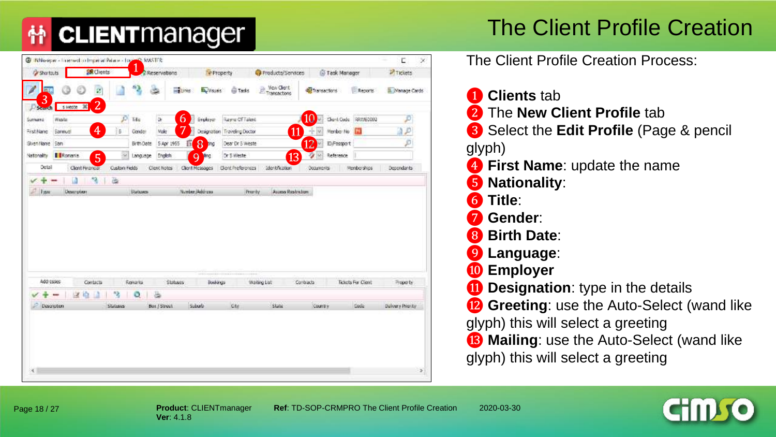#### The Client Profile Creation

| <b><i>Py</i></b> Shortouts |                                              | <b>SR</b> Clients              |               |                           | Reservations      |               | Property         |                              | Products/Services                       |                    | Task Manager |                      | <b>PITICKETS</b>   |  |
|----------------------------|----------------------------------------------|--------------------------------|---------------|---------------------------|-------------------|---------------|------------------|------------------------------|-----------------------------------------|--------------------|--------------|----------------------|--------------------|--|
| <b>FILE</b><br>3           |                                              | ø                              |               | $\mathbf{a}_{\mathbf{b}}$ | G                 | <b>Market</b> | <b>Bullious</b>  | <b>GB</b> Tasks              | <b>Yiew Clerit</b><br>逳<br>Transactions | <b>Consections</b> |              | Reports              | Wanage Cards       |  |
| Search<br>Summer           | 5 ineste<br>Wester                           | $\overline{2}$<br>$\mathbf{x}$ | P             | Title                     | ü.                | 6             | Engloper         | Rayne Of Takes               |                                         | (10)<br>W)         |              | Clent Code 800/60002 |                    |  |
| First Name                 | Samuel                                       | 4                              | 5             | Gender                    | Male              |               |                  | Designation Traveling Doctor | $\overline{11}$                         | ÷<br>w.            | Member No    | m                    | p                  |  |
| Sivenifiante Sam           |                                              |                                |               | Birth Date                | 5 Apr 1955        | Б             | 8<br>ting        | Dear Dr 5 Weste              |                                         | 12                 | ID/Passport  |                      |                    |  |
| Nationality                | Romania                                      | $\overline{5}$                 | $\sim$        | Language                  | English           |               | <b>Q</b>         | Dr. S Weste                  | $\overline{13}$                         | AN3<br>×           | Reference    |                      |                    |  |
| Detail                     |                                              | Clent Financial                | Custom Fields |                           | Clent hotes       |               | Clerit Messages  | Clont Preferences            | Identification                          | Documents          |              | Memberships          | Desendants         |  |
| Type:                      | Description                                  |                                |               | <b>Statuses</b>           |                   |               | Number (Address) | Thurdy.                      | Access Restriction                      |                    |              |                      |                    |  |
|                            |                                              |                                |               |                           |                   |               |                  |                              |                                         |                    |              |                      |                    |  |
| Addresses                  |                                              | Contacts                       |               | Renario                   | Statuses          |               | Bookings         |                              | <b>Waiting List</b>                     | Contracts          |              | Tiolots For Client   | Frepo ty           |  |
|                            | ж<br>$\overline{\phantom{a}}$<br>Description | ×<br>m                         | 條<br>Statuens | ٥                         | ä<br>But / Street |               | Suburb           | Civ                          | statu                                   | Count's            |              | Code:                | Deliver o Prignity |  |

The Client Profile Creation Process:

 **Clients** tab The **New Client Profile** tab Select the **Edit Profile** (Page & pencil glyph) First Name: update the name

**Nationality**:

**Title**:

**Gender**:

**Birth Date**:

**Language**:

**Employer**

*O* Designation: type in the details

**12 Greeting**: use the Auto-Select (wand like

glyph) this will select a greeting

**B** Mailing: use the Auto-Select (wand like glyph) this will select a greeting

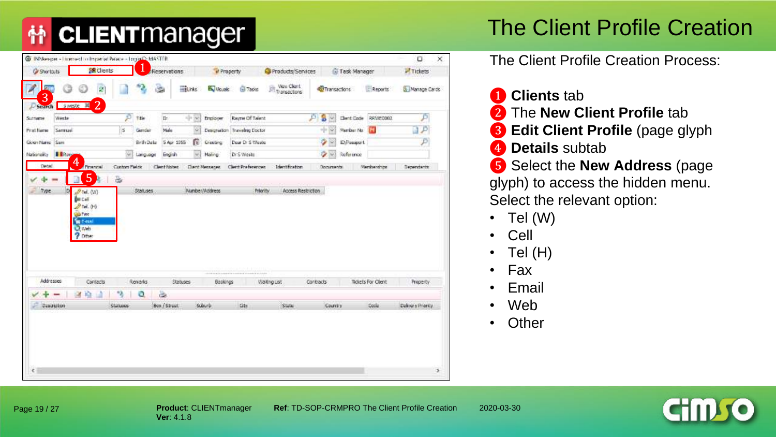#### The Client Profile Creation

|                                     |                                                                                                               |                      |                |                      |               |                                           | <b>M</b> Property                      | Products/Services                           |    |              | Task Manager |                           | Tickets           |
|-------------------------------------|---------------------------------------------------------------------------------------------------------------|----------------------|----------------|----------------------|---------------|-------------------------------------------|----------------------------------------|---------------------------------------------|----|--------------|--------------|---------------------------|-------------------|
| 3                                   | ø                                                                                                             |                      | $\mathbf{P}$   | Ġ.                   | <b>Burks</b>  | <b>By Vicuals</b>                         | <b>G</b> Tadro                         | View Client<br>ğ<br>Transactions            |    | Transactions |              | Reports                   | Manage Cards      |
| <b>D</b> Search<br>Weete<br>Sutname | $\overline{2}$<br>Sweste M                                                                                    | ø                    | Title          | tir.                 | 121 ISO       | Employer                                  | <b>Rayne Of Talent</b>                 |                                             | Рi | S<br>W)      |              | Client Code \$93 Victoria | ₽                 |
| Sarmusi<br>Print Name               |                                                                                                               | is.                  | Gender         | Male                 | $\frac{1}{2}$ | Designation                               | <b>Traveling Doctor</b>                |                                             |    | $-10.166$    | Mambur No.   | <b>PH</b>                 | ЗP                |
| Given Name Sam                      |                                                                                                               |                      | Brth Data:     | 5 Apr 1955           | 们.            | Greeting                                  | Dear Dr S Weste                        |                                             |    | ٠            | 10 Pasquart  |                           | P                 |
| <b>I</b> BROWN<br>Nationality       |                                                                                                               | 56                   | Language       | English              | w.            | <b>Hairg</b>                              | Dr S Weste                             |                                             |    | o            | Reference    |                           |                   |
| Detail                              | 4<br>Financial                                                                                                | Custom Parkis        |                |                      |               |                                           |                                        |                                             |    |              |              |                           |                   |
| Type.<br>D                          | 5<br>$P$ Tel. (Vi)<br><b>DECAT</b><br>27rd.00<br><b>SAFAKE</b><br><b>E</b> Final<br><b>Q</b> web<br>$9$ Other | 忌                    | Statuses       | <b>Client Fisher</b> |               | <b>Illiant Mettaces</b><br>Number/Address | <b>Client Preferences</b><br>Priority. | <b>Identification</b><br>Access Restriction |    | Documents    |              | Memberships               | Dependants        |
|                                     |                                                                                                               |                      |                |                      |               |                                           |                                        |                                             |    |              |              |                           |                   |
| <b>Addresses</b>                    | Contacts                                                                                                      |                      | <b>Renarks</b> | Statuses             |               | Bookings                                  |                                        | Watng ust                                   |    | Contracts    |              | Tickets For Client        | Property          |
| $\overline{\phantom{a}}$            | ×<br>谕                                                                                                        | ٠<br><b>Statutes</b> | ٥              | 当<br>Box / Street    |               | <b>Suburb</b>                             | tite                                   | Statut                                      |    | County       |              | <b>Cook</b>               | Delivery Priority |

- ❶ **Clients** tab
- ❷ The **New Client Profile** tab
- ❸ **Edit Client Profile** (page glyph
- **4** Details subtab
- ❺ Select the **New Address** (page glyph) to access the hidden menu. Select the relevant option:
- Tel (W)
- Cell
- $\cdot$  Tel (H)
- Fax
- Email
- Web
- Other

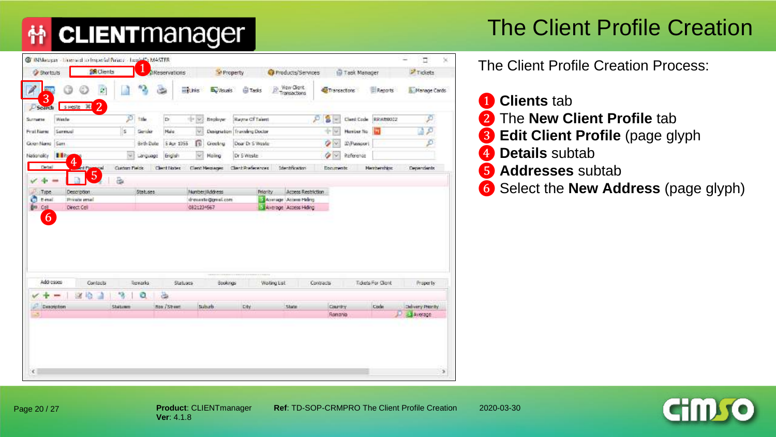#### The Client Profile Creation

|                              |                                              |               | a Reservations  |                          |                |                                      | Property                     | Products/Services                                       |                    |               | Task Manager |                    | <b>Z</b> Tickets    |
|------------------------------|----------------------------------------------|---------------|-----------------|--------------------------|----------------|--------------------------------------|------------------------------|---------------------------------------------------------|--------------------|---------------|--------------|--------------------|---------------------|
| <b>A</b><br><b>STEP</b><br>3 | Ø.                                           |               |                 | ≈                        | <b>Helling</b> | <b>B.</b> Visuals                    | <b>Gil Tasks</b>             | <b>Wew Client</b><br>ß,<br>Transactions                 |                    | Transactons   |              | Reports            | <b>Nanage Cards</b> |
| Search<br>Weste<br>Surrame   | $\overline{2}$<br>sweste W                   | P             | tale            | th.                      | 10 lbr         | Englanger                            | Rayne Of Talent              |                                                         | £                  | s<br>$\sim$   | Clerit Code  | RRIABOOC2          | £                   |
| Serriud<br>First Name        |                                              | s             | Gericki         | Nale                     | u              |                                      | Designation Travaling Doctor |                                                         |                    | <b>ST 50</b>  | Harrber No.  |                    |                     |
| Given Name Sam               |                                              |               | Birth Date      | S Apr 1955               | π              | Greekhu                              | Dear Dr S Wester             |                                                         |                    | $\mathcal{L}$ | ID/Nascort   |                    | p                   |
| Nasaraky 11ng                |                                              | 140           | Language        | Erigish                  |                | Maling                               | Dr S Weste                   |                                                         |                    | o<br>W        | Reference    |                    |                     |
| Detail                       | 4<br>mt F.                                   | Custom Pielok |                 | Clerrit Filoties         |                | Clent Metzages                       | Clark Preferences            | <b>Identification</b>                                   |                    | Documents:    |              | <b>Herberching</b> | <b>Depardents</b>   |
|                              |                                              |               |                 |                          |                |                                      |                              |                                                         |                    |               |              |                    |                     |
|                              | 5                                            | a,            |                 |                          |                |                                      |                              |                                                         |                    |               |              |                    |                     |
| Type.<br>E-mail<br>Cell<br>6 | Description<br>Principe ernal<br>Direct Cell |               | Statuses.       |                          | 0821234567     | Number/Address<br>drewerte@great.com | Priority.                    | Avenuare Access Helms<br><b>Editorage Access Hiding</b> | Access Restriction |               |              |                    |                     |
| Addresses                    | Contacts                                     |               | <b>Toomarks</b> |                          | Statuers       | Bookings                             | -------------------          | Waiting List                                            | Contracts          |               |              | Tidets For Clerk   | Property:           |
| e<br>ger.<br>Description     | <b>SE</b><br>楡                               | 储<br>Shatzam  | ٥               | 齒<br><b>Nox / Street</b> |                | Suburb                               | Dtv                          | Shope                                                   |                    | Country       |              | Code               | Delivery Prenty     |

- **Clients** tab
- The **New Client Profile** tab
- **Edit Client Profile** (page glyph
- **Details** subtab
- **Addresses** subtab
- Select the **New Address** (page glyph)

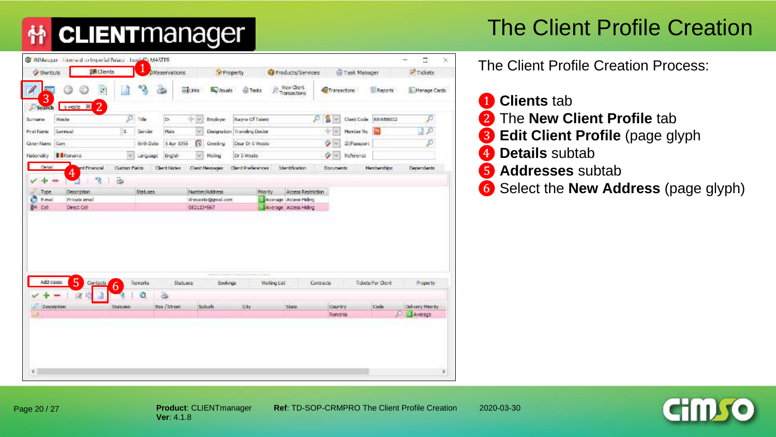#### The Client Profile Creation

| <b>A</b><br>$\hat{z}$<br>an.<br>3<br>$\overline{2}$<br>sweste W<br>Search<br>Weste<br>Sentual<br><b>Il Romanio</b><br>Detail<br>ert Financial<br>4 | 12<br>ø<br>tale<br>ls.<br>Gericki<br>Birth Date<br>140<br>Language | <b>Halling</b><br>∍<br>b.<br>the bay<br>Hale<br>u<br>S Apr 1955<br>n | <b>B.</b> Visuals<br>Englanger | <b>G</b> Tasks<br>Rayne Of Talent<br>Designation Travaling Doctor | <b>Wew Client</b><br>ß<br>Transactions | Transactons<br>s<br>£<br>$\sim$ | Cleri Code  | Reports              | Manage Cards       |
|----------------------------------------------------------------------------------------------------------------------------------------------------|--------------------------------------------------------------------|----------------------------------------------------------------------|--------------------------------|-------------------------------------------------------------------|----------------------------------------|---------------------------------|-------------|----------------------|--------------------|
| Surrume                                                                                                                                            |                                                                    |                                                                      |                                |                                                                   |                                        |                                 |             |                      |                    |
| First Name<br>Given Name Sam                                                                                                                       |                                                                    |                                                                      |                                |                                                                   |                                        |                                 |             | RRIVE0002            | 50                 |
|                                                                                                                                                    |                                                                    |                                                                      |                                |                                                                   |                                        | the live                        | Harrber No. |                      |                    |
| Nationality                                                                                                                                        |                                                                    |                                                                      | Greekhu                        | Dear Dr S Wester                                                  |                                        | Ý<br>W.                         | ID/Passport |                      | Đ                  |
|                                                                                                                                                    |                                                                    | Erigish                                                              | Maiing                         | Dr S Weste                                                        |                                        | Ù<br>×                          | Reference   |                      |                    |
|                                                                                                                                                    | Custom Plaints                                                     | Cleart Notes                                                         | <b>Clent Metziager</b>         | Clarit Preferences                                                | <b>Identification</b>                  | Documents:                      |             | <b>Heinbershirs:</b> | <b>Departisots</b> |
| 函<br>Type.<br>Description                                                                                                                          | Statuses.                                                          |                                                                      | Number/Address                 | Priority:                                                         | Access Restriction                     |                                 |             |                      |                    |
|                                                                                                                                                    |                                                                    |                                                                      |                                |                                                                   |                                        |                                 |             |                      |                    |
| G<br>Principe ernal<br>Einal                                                                                                                       |                                                                    |                                                                      | drewinte@griel.com             |                                                                   | Avvirage Access Hidrog                 |                                 |             |                      |                    |
| ğu.<br>Direct Cell<br>Call                                                                                                                         |                                                                    | 0821234567                                                           |                                |                                                                   | <b>Edwardge Access Hiding</b>          |                                 |             |                      |                    |
|                                                                                                                                                    |                                                                    |                                                                      |                                |                                                                   |                                        |                                 |             |                      |                    |
| 5<br>Addresses<br>Contacts<br>È                                                                                                                    | Torrarks                                                           | Statuers                                                             | Bookings                       |                                                                   | <b>Waiting List</b>                    | Contracts                       |             | Tides For Gent       | Property:          |
| 6<br><b>SK</b>                                                                                                                                     | ٥                                                                  |                                                                      |                                |                                                                   |                                        |                                 |             |                      |                    |
| Description<br>Shatzam                                                                                                                             |                                                                    | 菡<br><b>Rox / Stream</b>                                             | Suburb                         | Div                                                               | Shope                                  | Country                         |             | Code                 | Delivery Presidy   |

- **Clients** tab
- The **New Client Profile** tab
- **Edit Client Profile** (page glyph
- **Details** subtab
- **Addresses** subtab
- Select the **New Address** (page glyph)

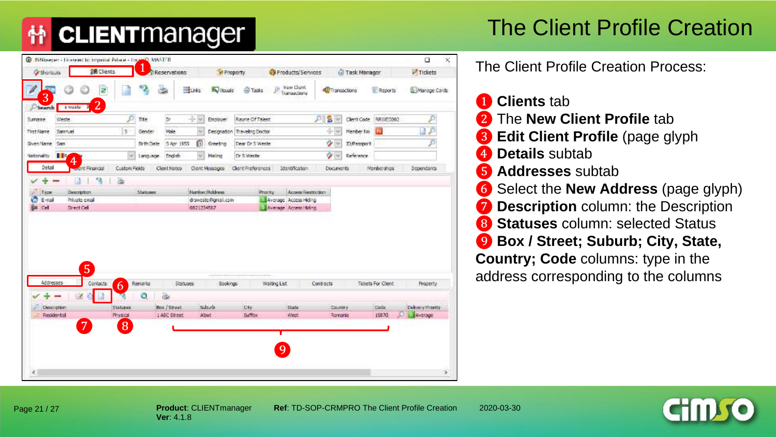#### The Client Profile Creation

| <b>Shortcuts</b>            | <b>PR</b> Clients   |                                      | Reservations    | <b>M</b> Property          |                              | Products/Services                  |                    |                       | Task Manager             | Tickets          |
|-----------------------------|---------------------|--------------------------------------|-----------------|----------------------------|------------------------------|------------------------------------|--------------------|-----------------------|--------------------------|------------------|
| a.<br>3                     | ø<br>$\overline{2}$ |                                      | durks:          | <b>By Visuals</b>          | <b>G</b> Tasks               | Went Listeri:<br>匝<br>Transactions |                    | <b>C</b> Transactions | <b>E</b> Reports         | Manage Cards     |
| Seranch<br>Weide<br>Sumarre | я<br>a washi        | Þ<br>Title                           | 'Dr.            | $+0$<br>Enployer           | Rayme Of Talent              |                                    | $P$ 8 $\sim$       |                       | Clent Code RRWED002      | P                |
| Samuel<br><b>First Name</b> | $\mathbb{R}^+$      | Gender                               | Mode            | $\sim$                     | Designation Traveling Doctor |                                    |                    | 4-52                  | <b>CO</b><br>Nember No.  |                  |
| Shien Name Sam              |                     | Brth Date                            | 5 Apr 1955      | Ü<br>Greeting              | Dear Dr 5 Weete              |                                    |                    | ÷                     | D.Passport               | Þ                |
| $\mathbf{H}$                |                     | $\overline{\phantom{a}}$<br>Language | <b>English</b>  | w<br><b>Naing</b>          | Dr 5 Weete                   |                                    |                    | ٠                     | Reference                |                  |
| Nationality                 | $\overline{4}$      |                                      |                 |                            |                              |                                    |                    |                       |                          |                  |
| Detail                      | <b>Contribution</b> | <b>Custom Fields</b>                 | Client Notes    | Clent Messages             | Client Preferences           | <b>Sdendification</b>              |                    | <b>Documents</b>      | <b>Membershes</b>        | Dependents       |
| ÷<br><b>The State</b>       | -3<br>溢<br>a        |                                      |                 |                            |                              |                                    |                    |                       |                          |                  |
| Type:                       | Description.        | Sheraneer                            |                 | <b>Fitzplast /Acklesse</b> |                              | Priority                           | Arcasas Rasimidano |                       |                          |                  |
| E-mail                      | Private email       |                                      |                 | droweste@griail.com        |                              | El Average Access Hiding           |                    |                       |                          |                  |
| <b>DE CAL</b>               | Drect Cell          |                                      |                 | 0121234567                 |                              |                                    |                    |                       |                          |                  |
|                             |                     |                                      |                 |                            |                              | - Wierage Access Hiding            |                    |                       |                          |                  |
|                             | $\overline{5}$      |                                      |                 |                            |                              |                                    |                    |                       |                          |                  |
| Addresses                   | Contacts<br>6       | Renarks                              | <b>Statuses</b> | <b>Bookings</b>            |                              | Waiting List                       | Contracts          |                       | <b>Tidets For Client</b> | Property         |
|                             |                     | a                                    | Ъ               |                            |                              |                                    |                    |                       |                          |                  |
| Description:                | Statution           |                                      | Bus / Street    | Subside                    | <b>Cty</b>                   | State                              |                    | <b>Dountry</b>        | Code                     |                  |
| Residental                  | Physical            |                                      | 1 ABC Street    | Abot:                      | Suffex                       | West.                              |                    | Romania               | 15870                    | Average          |
|                             | $\overline{7}$      |                                      |                 |                            |                              |                                    |                    |                       |                          |                  |
|                             | 8                   |                                      |                 |                            |                              |                                    |                    |                       |                          | Delivery Promits |
|                             |                     |                                      |                 |                            |                              |                                    |                    |                       |                          |                  |
|                             |                     |                                      |                 |                            |                              | 9                                  |                    |                       |                          |                  |
|                             |                     |                                      |                 |                            |                              |                                    |                    |                       |                          |                  |

The Client Profile Creation Process:

 **Clients** tab The **New Client Profile** tab **Edit Client Profile** (page glyph Details subtab **Addresses** subtab Select the **New Address** (page glyph)  $\sigma$  **Description** column: the Description **Statuses** column: selected Status **Box / Street; Suburb; City, State, Country; Code** columns: type in the address corresponding to the columns

Page 21 / 27

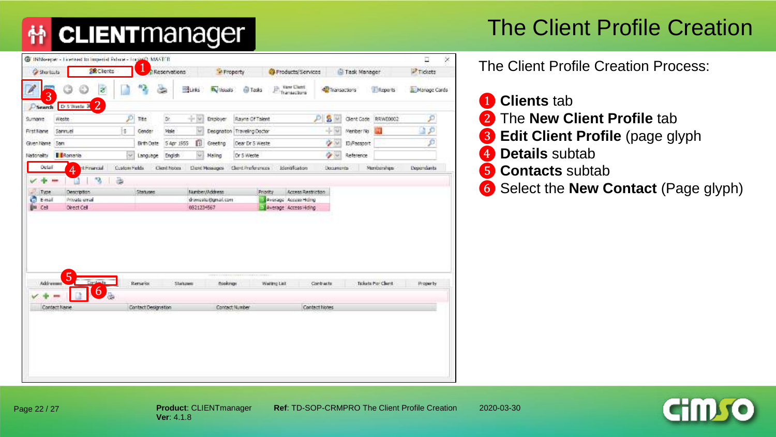## The Client Profile Creation

| <b>Gristrato</b>             | <b>SR Clients</b>                    | J                   | Reservations      |                     | " Property                     | Products/Services                   |               | Task Manager |                     | Tickets      |  |
|------------------------------|--------------------------------------|---------------------|-------------------|---------------------|--------------------------------|-------------------------------------|---------------|--------------|---------------------|--------------|--|
| 3                            | ø                                    |                     | <b>BLINS</b><br>œ | <b>By Visuals</b>   | <b>El Tasks</b>                | vant Ularri.<br>jh,<br>Transactions | Transactors   |              | <b>E</b> Reports    | Manage Cards |  |
| Search<br>weste.<br>Surnaree | $\overline{2}$<br>Dr.S Wasta 34<br>Þ | Title               | Dr.<br>$+8$       | Entployer           | Rayne Of Talent                |                                     | S V<br>₽      | Client Code: | RRWE0002            | ₽            |  |
| Samuel<br><b>First Name</b>  | s.                                   | Gender              | <b>Make</b>       | w                   | Designation   Traveling Doctor |                                     | 中国            | Member No.   |                     |              |  |
| Given Name Sam               |                                      | Brth Oate           | 5 Apr 1955        | Ű.<br>Greeting      | Dear Dr 5 Weste                |                                     | o se          | ID/Passport  |                     |              |  |
| Ronania<br>Nationality       | $\ddot{\phantom{1}}$                 | Language            | English           | wi<br><b>Maling</b> | Dr 5 Weste                     |                                     | 空间            | Reference    |                     |              |  |
| Octal                        | d Francial<br>Custom Fights<br>4     |                     | Clerit hopes      | L'Ient Massages     | Client Preferences             | <b>Identification</b>               | Documents     |              | Meriberships        | Dependants   |  |
|                              |                                      |                     |                   | 0821234567          |                                | - Average Access Hong               |               |              |                     |              |  |
|                              |                                      |                     |                   |                     |                                |                                     |               |              |                     |              |  |
| Addresses                    | 5<br>Contacts                        | Remarks             | Statutes          | Bookings            | ----                           | Waiting List                        | Contracts     |              | Tickets Por Clurrit | Property     |  |
| Contact Name                 | $\mathbf 6$<br>品                     | Contact Designation |                   |                     | Contact Number                 |                                     | Contact Nobes |              |                     |              |  |

- **Clients** tab
- The **New Client Profile** tab
- **Edit Client Profile** (page glyph
- Details subtab
- Contacts subtab
- Select the **New Contact** (Page glyph)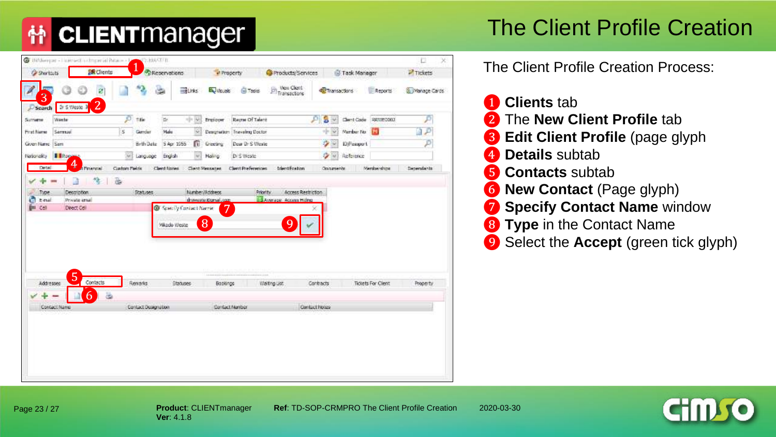#### The Client Profile Creation

| <b>Cy Shortcuts</b>         | <b>Exclients</b>                         |              |                     | <b>C</b> Reservations | W Property                        |                              | Products/Services                                   |               | Task Manager |                      | Tickets           |
|-----------------------------|------------------------------------------|--------------|---------------------|-----------------------|-----------------------------------|------------------------------|-----------------------------------------------------|---------------|--------------|----------------------|-------------------|
| 3                           | ø                                        |              | 2                   | $\mathbb{R}$          | <b>Burks</b><br><b>ES Vicuals</b> | <b>GI Tadio</b>              | View Client<br><b><i><u>Bit Transactors</u></i></b> | Transactions  |              | Reports              | Manage Cards      |
| Search<br>Surrustee         | $\overline{2}$<br>Dr S Weste 3<br>Weeter | p            | Title               | The                   | -9-36<br>Employer                 | Reyne Of Talent              |                                                     | s<br>₽<br>W.  |              | Client Code SRWEDD02 |                   |
| <b>Print Name</b>           | Service.                                 | is.          | Gender              | Malu                  | ÷                                 | Designation Traveling Doctor |                                                     | $+8$          | Mambur No.   | 73                   |                   |
| Given Name Sam              |                                          |              | Brth Oats:          | S Apr 1955            | m<br>Greening                     | Dour Dr S Weste              |                                                     | ٠<br>$\sim$   | 10 Fessport  |                      |                   |
| Nationality <b>FR</b> Rooms |                                          | 561          | Language            | English               | <b>Malirio</b>                    | Di S Weste                   |                                                     | ۰<br>W.       | Reference    |                      |                   |
| Detail                      | 4<br>t Pinencial                         | Custom Pakis |                     | Clent Notes           | Clark Metcaner.                   | <b>Client Preferences</b>    | tdentfication                                       | Oppurients    |              | Memberships          | <b>Dependants</b> |
|                             |                                          |              |                     | Vikado Weste          | 8                                 |                              |                                                     |               |              |                      |                   |
|                             |                                          |              |                     |                       |                                   |                              |                                                     |               |              |                      |                   |
| <b>Addresses</b>            | 5<br>Contacts                            |              | Renarks             | <b>Stanuoes</b>       | Bookings                          |                              | Waiting List                                        | Contracts     |              | Tickets For Client   | Property          |
|                             | 6                                        | 菡            |                     |                       |                                   |                              |                                                     |               |              |                      |                   |
| Contact Name                |                                          |              | Contact Designation |                       |                                   | Danfact Manber               |                                                     | Contact Notes |              |                      |                   |



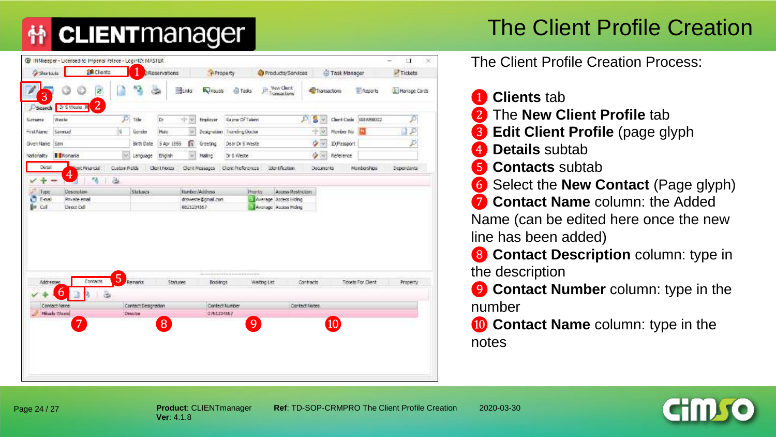#### The Client Profile Creation

| <b>Shartuits</b> | <b>IR Clients</b>                                 |                   |                                | a Reservations |               | Property            |                                    |              | Products/Services                                    |                    | Task Manager |                          | Tickets      |
|------------------|---------------------------------------------------|-------------------|--------------------------------|----------------|---------------|---------------------|------------------------------------|--------------|------------------------------------------------------|--------------------|--------------|--------------------------|--------------|
| 3                | ø                                                 |                   |                                |                | <b>BLinks</b> | <b>By visuals</b>   | <b>GITasks</b>                     | jì.          | <b>Wew Client</b><br>Transactions                    | Transactions       |              | E Reports                | Hanage Cards |
| Simana           | $\overline{2}$<br>D'Search D'S Weste. W<br>Wester | Þ                 | Trider                         | the.           | $=14.166$     | Employer.           | <b>Savrar Of Talent</b>            |              |                                                      | s<br>D<br>W        |              | Clerit Code RRW10002     | Đ            |
| First Name       | Samud                                             | iš.               | Gender                         | <b>Male</b>    | ŵ.            |                     | Designation Traveling Doctor       |              |                                                      | $+8$               | Member No.   |                          | 1P           |
| Given Name: Sam  |                                                   |                   | Birth Date                     | 5 Apr 1555     | ß             | Greeting            | Dear Dr S Weste                    |              |                                                      | ۰                  | ID/Pessport  |                          | P            |
| Nationality      | I I Romania                                       | Set.              | Language                       | English        | ×             | Malino <sup>1</sup> | Dr 5 Weste                         |              |                                                      | <b>Card Street</b> | Reference    |                          |              |
| Détail           | ent Financial                                     | Custom Ripids     |                                | Client Floors  |               | Clont Messages      | Clem Proferences                   |              | Identification.                                      | Documents          |              | Monberships              | Dependants   |
|                  | 4<br>植                                            | ä                 |                                |                |               |                     |                                    |              |                                                      |                    |              |                          |              |
| lype             | <b>Description</b>                                |                   | Statusca                       |                |               | Number/Address      |                                    | Priority.    | Access Restriction                                   |                    |              |                          |              |
|                  |                                                   |                   |                                |                |               |                     |                                    |              |                                                      |                    |              |                          |              |
| E-mail<br>Coll   | Private erral<br>Deed Oil                         |                   |                                |                | 0821231567    | draweste @gmail.com |                                    |              | - Average Access Hickey<br>LLB Avenage Access Hiding |                    |              |                          |              |
|                  | Contacte                                          | 5                 |                                |                |               |                     | ---------------------------------- |              |                                                      |                    |              |                          |              |
| Addresse         | b                                                 |                   | Remarks                        | Staguere       |               | Bookings            |                                    | Walting List |                                                      | Contracts          |              | <b>Tidets For Client</b> | Property     |
| Contact Name     |                                                   | $\partial \theta$ |                                |                |               |                     | Contact Number                     |              |                                                      | Contact Nobes      |              |                          |              |
| Mikado Waarad    |                                                   |                   | Contact Designation<br>Descher |                |               | 0761234562          |                                    |              |                                                      |                    |              |                          |              |
| e<br>ăн          | 7                                                 |                   |                                | 8 <sup>1</sup> |               |                     |                                    | 9            |                                                      |                    | 10           |                          |              |
|                  |                                                   |                   |                                |                |               |                     |                                    |              |                                                      |                    |              |                          |              |
|                  |                                                   |                   |                                |                |               |                     |                                    |              |                                                      |                    |              |                          |              |

The Client Profile Creation Process:

- ❶ **Clients** tab
- ❷ The **New Client Profile** tab
- ❸ **Edit Client Profile** (page glyph
- **4.** Details subtab
- **6** Contacts subtab
- ❻ Select the **New Contact** (Page glyph)
- $\bullet$  **Contact Name** column: the Added Name (can be edited here once the new line has been added)
- ❽ **Contact Description** column: type in the description
- **<sup>O</sup>** Contact Number column: type in the number
- **10 Contact Name** column: type in the notes



Page 24 / 27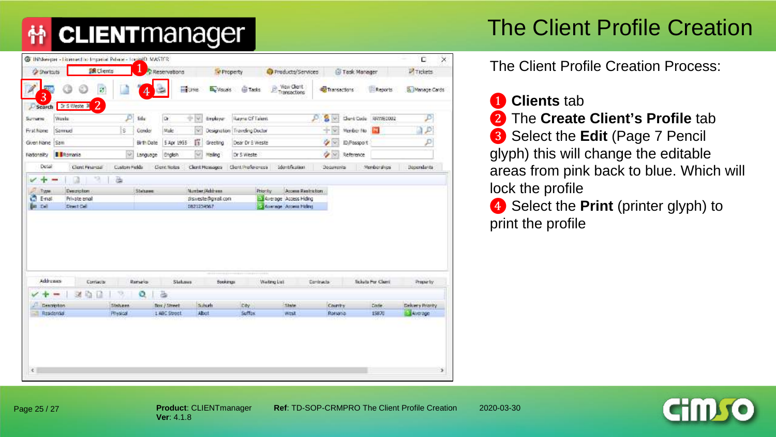## The Client Profile Creation

| <b>SR</b> Clients<br><b>C</b> Shortcuts       |                 |                     |                              |                                      |                |              |                     | D.                | $\times$ |
|-----------------------------------------------|-----------------|---------------------|------------------------------|--------------------------------------|----------------|--------------|---------------------|-------------------|----------|
|                                               | T               | Reservations        | Property                     | Products/Services                    |                | Task Manager |                     | <b>P</b> Tickets  |          |
| <b>SOFT</b><br>ø<br>3                         | 4               | <b>HIPUTKE</b>      | B. Visues                    | Wey Client<br><b>Gi Tasks</b>        | Transactions   |              | 围<br>Reports        | Manage Cards      |          |
| Dris Weste 3 2<br>Search<br>Wester<br>Surrume | ø<br>Title      | Dr.<br>中国           | Employer                     | <b>Rayne Of Talent</b>               | s<br>ø<br>wi   |              | Clunt Code 54WE0002 |                   |          |
| Samuel<br><b>First Name</b>                   | s<br>Cender     | Male<br>w           | Designation Traveling Doctor |                                      | $+8$           | Member No.   | $\mathbf{r}$        | Þ                 |          |
| Given Name (Saw                               | Birth Date      | 筺<br>5 Apr 1955     | Greeting                     | Dear Dr S Weste                      | ۰<br>s.        | ID/Passport  |                     |                   |          |
| <b>B</b> Romania<br>Nationality               | Ø.<br>Language  | English             | Meling                       | Dr 5 Weste                           | $\alpha$       | Reference    |                     |                   |          |
| Detail<br>Clent Financial                     | Custom Fields   | <b>Cleric Notes</b> | Client Messages              | Client Proferences<br>Identification | Documental     |              | Mondacrahios        | <b>Becombants</b> |          |
|                                               |                 |                     |                              |                                      |                |              |                     |                   |          |
| Addresses<br>Corriacia                        | <b>Renald</b>   | Statuses            | <b>Books up</b>              | Waiting List                         | Contracta      |              | Tickets For Clarit  | Properly          |          |
|                                               | Ö               | ä                   |                              |                                      |                |              |                     |                   |          |
| Description                                   | <b>Statuers</b> | flox / Street       | Schutt                       | Dży<br>State                         | <b>Country</b> |              | <b>Code</b>         | Delivery Priority |          |
| Residential                                   | Physical        | 1 ABC Street        | Abut                         | Sufflox<br>west                      | Rotsana        |              | 15870               | <b>EL Average</b> |          |

- ❶ **Clients** tab ❷ The **Create Client's Profile** tab ❸ Select the **Edit** (Page 7 Pencil glyph) this will change the editable areas from pink back to blue. Which will lock the profile
- 4 Select the **Print** (printer glyph) to print the profile

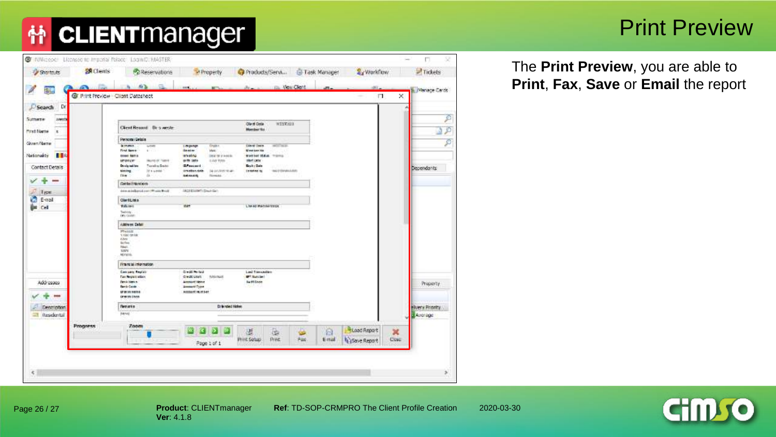## 什 CLIENTManager

#### Print Preview

| 配<br><b>Gr Print Preview - Clent Datasheet</b><br>$\times$<br>F.<br>Search Dr<br>Sutterne<br><b>JVWIIT</b><br>Client Code<br>WESTONIA<br>Client Resort Dr s weste-<br>Manber Na<br><b>Mirst Name</b><br>×<br>Personal Details<br>Given Name<br><b>PECCASE</b><br><b>BITMER</b><br>finder:<br><b>CAN ONE</b><br>is from<br>1-movings<br>First <b>Kenn</b><br><b>Benter</b><br>Meki.<br><b>M</b> you aug 10s<br><b>Service</b><br>$\blacksquare$<br>Nationality<br><b>BOISTO</b><br><b>DOM: NOTE</b><br>DNY OF IT HANDS.<br>MAYNE SLAW, Trimmin<br><b>MEDIA CAT</b><br>RUNG OF TERM<br>60 TO 1879<br>LAIRTHIS<br>that uns<br>Triangling David<br><b>GAMMER</b><br>De site isni fore<br><b>Bash : Dale</b><br>Contact Details<br><b>Dependants</b><br>If a wanter<br>imates sale<br>NUMBER<br><b>Demokratike</b><br><b>MAUTENMANN</b><br>sining.<br>Die me<br>a.<br><b>SEASER</b><br><b>Newsale</b><br><b>STAR</b><br><b>Gridad Handson</b><br>dates an indicated contribution Bright<br><b>INCORDINATIONAL GMT</b><br>Type<br>G<br>E-mail<br><b>Olerittisks</b><br><b>Billistes</b><br>Lise ed Memberships<br><b>WAY</b><br><b>Cell</b><br>Television<br>Additions Debit<br>PERIODI<br>1100 Stride<br>8.ive<br><b>Suites</b><br>Revil.<br><b>SINK</b><br><b>ADVICES</b><br>Financial information<br><b>Cest Prized</b><br>Cam says Regists<br>Last Transaction<br><b>Tax Neurativation</b><br>Owald Links<br><b>IPT Sunction</b><br><b>National</b><br>Pena Herita<br><b>Announce Nemie</b><br><b>Suntilines</b><br>Addresses<br><b>Bank Caste</b><br><b>Ammedd Trune</b><br>ADDDGRFF FRUITS41<br>UP BY DO SHEREA<br>Green Door<br>El binded Hides:<br><b>Nematis</b><br>Description<br><b>BEAN</b><br>Il Residental<br><b>E</b> Average<br><b>Progress</b><br>Zoom<br><b>BLoad Report</b><br>區<br>볓<br>a<br>×<br><b>Phot Soluci</b><br>Pres.<br>Fax<br>E-mail<br>Save Report<br>Cost<br><b>STORY</b><br>Page 1 of 1 | Shartouts | <b>SR</b> Clents | Reservations | <b>A</b> Property<br>corn.<br><b>ACT</b> | Products/Servi I Task Manager | <b>Sy Worldfow</b><br>m.<br>m. | $\Box$ Tickets<br>Manage Cards |
|--------------------------------------------------------------------------------------------------------------------------------------------------------------------------------------------------------------------------------------------------------------------------------------------------------------------------------------------------------------------------------------------------------------------------------------------------------------------------------------------------------------------------------------------------------------------------------------------------------------------------------------------------------------------------------------------------------------------------------------------------------------------------------------------------------------------------------------------------------------------------------------------------------------------------------------------------------------------------------------------------------------------------------------------------------------------------------------------------------------------------------------------------------------------------------------------------------------------------------------------------------------------------------------------------------------------------------------------------------------------------------------------------------------------------------------------------------------------------------------------------------------------------------------------------------------------------------------------------------------------------------------------------------------------------------------------------------------------------------------------------------------------------------------------------------------------------------------------------------------------------------------------------------------------|-----------|------------------|--------------|------------------------------------------|-------------------------------|--------------------------------|--------------------------------|
|                                                                                                                                                                                                                                                                                                                                                                                                                                                                                                                                                                                                                                                                                                                                                                                                                                                                                                                                                                                                                                                                                                                                                                                                                                                                                                                                                                                                                                                                                                                                                                                                                                                                                                                                                                                                                                                                                                                    |           |                  |              |                                          |                               |                                |                                |
|                                                                                                                                                                                                                                                                                                                                                                                                                                                                                                                                                                                                                                                                                                                                                                                                                                                                                                                                                                                                                                                                                                                                                                                                                                                                                                                                                                                                                                                                                                                                                                                                                                                                                                                                                                                                                                                                                                                    |           |                  |              |                                          |                               |                                |                                |
|                                                                                                                                                                                                                                                                                                                                                                                                                                                                                                                                                                                                                                                                                                                                                                                                                                                                                                                                                                                                                                                                                                                                                                                                                                                                                                                                                                                                                                                                                                                                                                                                                                                                                                                                                                                                                                                                                                                    |           |                  |              |                                          |                               |                                | ø                              |
|                                                                                                                                                                                                                                                                                                                                                                                                                                                                                                                                                                                                                                                                                                                                                                                                                                                                                                                                                                                                                                                                                                                                                                                                                                                                                                                                                                                                                                                                                                                                                                                                                                                                                                                                                                                                                                                                                                                    |           |                  |              |                                          |                               |                                | B                              |
|                                                                                                                                                                                                                                                                                                                                                                                                                                                                                                                                                                                                                                                                                                                                                                                                                                                                                                                                                                                                                                                                                                                                                                                                                                                                                                                                                                                                                                                                                                                                                                                                                                                                                                                                                                                                                                                                                                                    |           |                  |              |                                          |                               |                                |                                |
|                                                                                                                                                                                                                                                                                                                                                                                                                                                                                                                                                                                                                                                                                                                                                                                                                                                                                                                                                                                                                                                                                                                                                                                                                                                                                                                                                                                                                                                                                                                                                                                                                                                                                                                                                                                                                                                                                                                    |           |                  |              |                                          |                               |                                | Þ                              |
|                                                                                                                                                                                                                                                                                                                                                                                                                                                                                                                                                                                                                                                                                                                                                                                                                                                                                                                                                                                                                                                                                                                                                                                                                                                                                                                                                                                                                                                                                                                                                                                                                                                                                                                                                                                                                                                                                                                    |           |                  |              |                                          |                               |                                |                                |
|                                                                                                                                                                                                                                                                                                                                                                                                                                                                                                                                                                                                                                                                                                                                                                                                                                                                                                                                                                                                                                                                                                                                                                                                                                                                                                                                                                                                                                                                                                                                                                                                                                                                                                                                                                                                                                                                                                                    |           |                  |              |                                          |                               |                                |                                |
|                                                                                                                                                                                                                                                                                                                                                                                                                                                                                                                                                                                                                                                                                                                                                                                                                                                                                                                                                                                                                                                                                                                                                                                                                                                                                                                                                                                                                                                                                                                                                                                                                                                                                                                                                                                                                                                                                                                    |           |                  |              |                                          |                               |                                |                                |
|                                                                                                                                                                                                                                                                                                                                                                                                                                                                                                                                                                                                                                                                                                                                                                                                                                                                                                                                                                                                                                                                                                                                                                                                                                                                                                                                                                                                                                                                                                                                                                                                                                                                                                                                                                                                                                                                                                                    |           |                  |              |                                          |                               |                                |                                |
|                                                                                                                                                                                                                                                                                                                                                                                                                                                                                                                                                                                                                                                                                                                                                                                                                                                                                                                                                                                                                                                                                                                                                                                                                                                                                                                                                                                                                                                                                                                                                                                                                                                                                                                                                                                                                                                                                                                    |           |                  |              |                                          |                               |                                |                                |
|                                                                                                                                                                                                                                                                                                                                                                                                                                                                                                                                                                                                                                                                                                                                                                                                                                                                                                                                                                                                                                                                                                                                                                                                                                                                                                                                                                                                                                                                                                                                                                                                                                                                                                                                                                                                                                                                                                                    |           |                  |              |                                          |                               |                                |                                |
|                                                                                                                                                                                                                                                                                                                                                                                                                                                                                                                                                                                                                                                                                                                                                                                                                                                                                                                                                                                                                                                                                                                                                                                                                                                                                                                                                                                                                                                                                                                                                                                                                                                                                                                                                                                                                                                                                                                    |           |                  |              |                                          |                               |                                |                                |
|                                                                                                                                                                                                                                                                                                                                                                                                                                                                                                                                                                                                                                                                                                                                                                                                                                                                                                                                                                                                                                                                                                                                                                                                                                                                                                                                                                                                                                                                                                                                                                                                                                                                                                                                                                                                                                                                                                                    |           |                  |              |                                          |                               |                                |                                |
|                                                                                                                                                                                                                                                                                                                                                                                                                                                                                                                                                                                                                                                                                                                                                                                                                                                                                                                                                                                                                                                                                                                                                                                                                                                                                                                                                                                                                                                                                                                                                                                                                                                                                                                                                                                                                                                                                                                    |           |                  |              |                                          |                               |                                |                                |
|                                                                                                                                                                                                                                                                                                                                                                                                                                                                                                                                                                                                                                                                                                                                                                                                                                                                                                                                                                                                                                                                                                                                                                                                                                                                                                                                                                                                                                                                                                                                                                                                                                                                                                                                                                                                                                                                                                                    |           |                  |              |                                          |                               |                                |                                |
|                                                                                                                                                                                                                                                                                                                                                                                                                                                                                                                                                                                                                                                                                                                                                                                                                                                                                                                                                                                                                                                                                                                                                                                                                                                                                                                                                                                                                                                                                                                                                                                                                                                                                                                                                                                                                                                                                                                    |           |                  |              |                                          |                               |                                |                                |
|                                                                                                                                                                                                                                                                                                                                                                                                                                                                                                                                                                                                                                                                                                                                                                                                                                                                                                                                                                                                                                                                                                                                                                                                                                                                                                                                                                                                                                                                                                                                                                                                                                                                                                                                                                                                                                                                                                                    |           |                  |              |                                          |                               |                                | Property                       |
|                                                                                                                                                                                                                                                                                                                                                                                                                                                                                                                                                                                                                                                                                                                                                                                                                                                                                                                                                                                                                                                                                                                                                                                                                                                                                                                                                                                                                                                                                                                                                                                                                                                                                                                                                                                                                                                                                                                    |           |                  |              |                                          |                               |                                |                                |
|                                                                                                                                                                                                                                                                                                                                                                                                                                                                                                                                                                                                                                                                                                                                                                                                                                                                                                                                                                                                                                                                                                                                                                                                                                                                                                                                                                                                                                                                                                                                                                                                                                                                                                                                                                                                                                                                                                                    |           |                  |              |                                          |                               |                                | <b>Hivery Priority</b>         |
|                                                                                                                                                                                                                                                                                                                                                                                                                                                                                                                                                                                                                                                                                                                                                                                                                                                                                                                                                                                                                                                                                                                                                                                                                                                                                                                                                                                                                                                                                                                                                                                                                                                                                                                                                                                                                                                                                                                    |           |                  |              |                                          |                               |                                |                                |
|                                                                                                                                                                                                                                                                                                                                                                                                                                                                                                                                                                                                                                                                                                                                                                                                                                                                                                                                                                                                                                                                                                                                                                                                                                                                                                                                                                                                                                                                                                                                                                                                                                                                                                                                                                                                                                                                                                                    |           |                  |              |                                          |                               |                                |                                |
|                                                                                                                                                                                                                                                                                                                                                                                                                                                                                                                                                                                                                                                                                                                                                                                                                                                                                                                                                                                                                                                                                                                                                                                                                                                                                                                                                                                                                                                                                                                                                                                                                                                                                                                                                                                                                                                                                                                    |           |                  |              |                                          |                               |                                |                                |
|                                                                                                                                                                                                                                                                                                                                                                                                                                                                                                                                                                                                                                                                                                                                                                                                                                                                                                                                                                                                                                                                                                                                                                                                                                                                                                                                                                                                                                                                                                                                                                                                                                                                                                                                                                                                                                                                                                                    |           |                  |              |                                          |                               |                                |                                |

The **Print Preview**, you are able to **Print**, **Fax**, **Save** or **Email** the report



**Ver**: 4.1.8